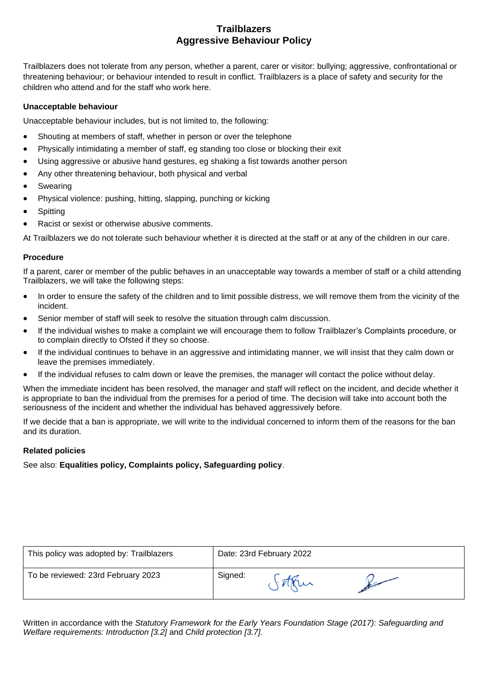# **Trailblazers Aggressive Behaviour Policy**

Trailblazers does not tolerate from any person, whether a parent, carer or visitor: bullying; aggressive, confrontational or threatening behaviour; or behaviour intended to result in conflict. Trailblazers is a place of safety and security for the children who attend and for the staff who work here.

## **Unacceptable behaviour**

Unacceptable behaviour includes, but is not limited to, the following:

- Shouting at members of staff, whether in person or over the telephone
- Physically intimidating a member of staff, eg standing too close or blocking their exit
- Using aggressive or abusive hand gestures, eg shaking a fist towards another person
- Any other threatening behaviour, both physical and verbal
- **Swearing**
- Physical violence: pushing, hitting, slapping, punching or kicking
- **Spitting**
- Racist or sexist or otherwise abusive comments.

At Trailblazers we do not tolerate such behaviour whether it is directed at the staff or at any of the children in our care.

## **Procedure**

If a parent, carer or member of the public behaves in an unacceptable way towards a member of staff or a child attending Trailblazers, we will take the following steps:

- In order to ensure the safety of the children and to limit possible distress, we will remove them from the vicinity of the incident.
- Senior member of staff will seek to resolve the situation through calm discussion.
- If the individual wishes to make a complaint we will encourage them to follow Trailblazer's Complaints procedure, or to complain directly to Ofsted if they so choose.
- If the individual continues to behave in an aggressive and intimidating manner, we will insist that they calm down or leave the premises immediately.
- If the individual refuses to calm down or leave the premises, the manager will contact the police without delay.

When the immediate incident has been resolved, the manager and staff will reflect on the incident, and decide whether it is appropriate to ban the individual from the premises for a period of time. The decision will take into account both the seriousness of the incident and whether the individual has behaved aggressively before.

If we decide that a ban is appropriate, we will write to the individual concerned to inform them of the reasons for the ban and its duration.

## **Related policies**

See also: **Equalities policy, Complaints policy, Safeguarding policy**.

| This policy was adopted by: Trailblazers | Date: 23rd February 2022 |  |  |
|------------------------------------------|--------------------------|--|--|
| To be reviewed: 23rd February 2023       | Signed:                  |  |  |

Written in accordance with the *Statutory Framework for the Early Years Foundation Stage (2017): Safeguarding and Welfare requirements: Introduction [3.2]* and *Child protection [3.7].*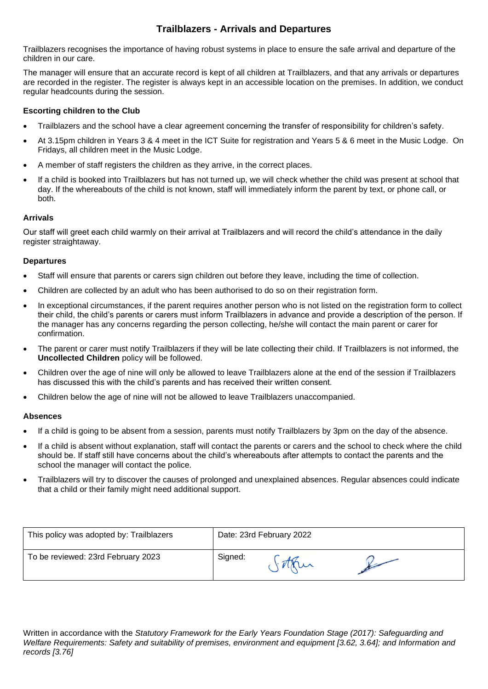# **Trailblazers - Arrivals and Departures**

Trailblazers recognises the importance of having robust systems in place to ensure the safe arrival and departure of the children in our care.

The manager will ensure that an accurate record is kept of all children at Trailblazers, and that any arrivals or departures are recorded in the register. The register is always kept in an accessible location on the premises. In addition, we conduct regular headcounts during the session.

# **Escorting children to the Club**

- Trailblazers and the school have a clear agreement concerning the transfer of responsibility for children's safety.
- At 3.15pm children in Years 3 & 4 meet in the ICT Suite for registration and Years 5 & 6 meet in the Music Lodge. On Fridays, all children meet in the Music Lodge.
- A member of staff registers the children as they arrive, in the correct places.
- If a child is booked into Trailblazers but has not turned up, we will check whether the child was present at school that day. If the whereabouts of the child is not known, staff will immediately inform the parent by text, or phone call, or both.

# **Arrivals**

Our staff will greet each child warmly on their arrival at Trailblazers and will record the child's attendance in the daily register straightaway.

# **Departures**

- Staff will ensure that parents or carers sign children out before they leave, including the time of collection.
- Children are collected by an adult who has been authorised to do so on their registration form.
- In exceptional circumstances, if the parent requires another person who is not listed on the registration form to collect their child, the child's parents or carers must inform Trailblazers in advance and provide a description of the person. If the manager has any concerns regarding the person collecting, he/she will contact the main parent or carer for confirmation.
- The parent or carer must notify Trailblazers if they will be late collecting their child. If Trailblazers is not informed, the **Uncollected Children** policy will be followed.
- Children over the age of nine will only be allowed to leave Trailblazers alone at the end of the session if Trailblazers has discussed this with the child's parents and has received their written consent.
- Children below the age of nine will not be allowed to leave Trailblazers unaccompanied.

## **Absences**

- If a child is going to be absent from a session, parents must notify Trailblazers by 3pm on the day of the absence.
- If a child is absent without explanation, staff will contact the parents or carers and the school to check where the child should be. If staff still have concerns about the child's whereabouts after attempts to contact the parents and the school the manager will contact the police.
- Trailblazers will try to discover the causes of prolonged and unexplained absences. Regular absences could indicate that a child or their family might need additional support.

| This policy was adopted by: Trailblazers | Date: 23rd February 2022 |  |  |
|------------------------------------------|--------------------------|--|--|
| To be reviewed: 23rd February 2023       | Signed:                  |  |  |

Written in accordance with the *Statutory Framework for the Early Years Foundation Stage (2017): Safeguarding and Welfare Requirements: Safety and suitability of premises, environment and equipment [3.62, 3.64]; and Information and records [3.76]*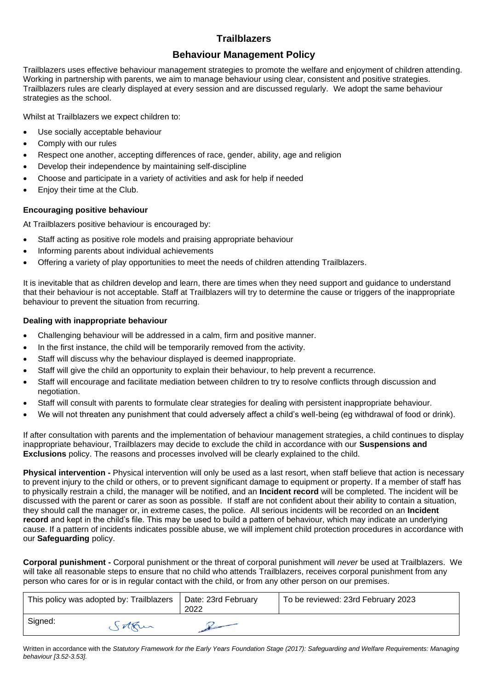# **Behaviour Management Policy**

Trailblazers uses effective behaviour management strategies to promote the welfare and enjoyment of children attending. Working in partnership with parents, we aim to manage behaviour using clear, consistent and positive strategies. Trailblazers rules are clearly displayed at every session and are discussed regularly. We adopt the same behaviour strategies as the school.

Whilst at Trailblazers we expect children to:

- Use socially acceptable behaviour
- Comply with our rules
- Respect one another, accepting differences of race, gender, ability, age and religion
- Develop their independence by maintaining self-discipline
- Choose and participate in a variety of activities and ask for help if needed
- Enjoy their time at the Club.

## **Encouraging positive behaviour**

At Trailblazers positive behaviour is encouraged by:

- Staff acting as positive role models and praising appropriate behaviour
- Informing parents about individual achievements
- Offering a variety of play opportunities to meet the needs of children attending Trailblazers.

It is inevitable that as children develop and learn, there are times when they need support and guidance to understand that their behaviour is not acceptable. Staff at Trailblazers will try to determine the cause or triggers of the inappropriate behaviour to prevent the situation from recurring.

## **Dealing with inappropriate behaviour**

- Challenging behaviour will be addressed in a calm, firm and positive manner.
- In the first instance, the child will be temporarily removed from the activity.
- Staff will discuss why the behaviour displayed is deemed inappropriate.
- Staff will give the child an opportunity to explain their behaviour, to help prevent a recurrence.
- Staff will encourage and facilitate mediation between children to try to resolve conflicts through discussion and negotiation.
- Staff will consult with parents to formulate clear strategies for dealing with persistent inappropriate behaviour.
- We will not threaten any punishment that could adversely affect a child's well-being (eg withdrawal of food or drink).

If after consultation with parents and the implementation of behaviour management strategies, a child continues to display inappropriate behaviour, Trailblazers may decide to exclude the child in accordance with our **Suspensions and Exclusions** policy. The reasons and processes involved will be clearly explained to the child.

**Physical intervention -** Physical intervention will only be used as a last resort, when staff believe that action is necessary to prevent injury to the child or others, or to prevent significant damage to equipment or property. If a member of staff has to physically restrain a child, the manager will be notified, and an **Incident record** will be completed. The incident will be discussed with the parent or carer as soon as possible. If staff are not confident about their ability to contain a situation, they should call the manager or, in extreme cases, the police. All serious incidents will be recorded on an **Incident record** and kept in the child's file. This may be used to build a pattern of behaviour, which may indicate an underlying cause. If a pattern of incidents indicates possible abuse, we will implement child protection procedures in accordance with our **Safeguarding** policy.

**Corporal punishment -** Corporal punishment or the threat of corporal punishment will *never* be used at Trailblazers. We will take all reasonable steps to ensure that no child who attends Trailblazers, receives corporal punishment from any person who cares for or is in regular contact with the child, or from any other person on our premises.

|         | This policy was adopted by: Trailblazers | Date: 23rd February<br>2022 | To be reviewed: 23rd February 2023 |
|---------|------------------------------------------|-----------------------------|------------------------------------|
| Signed: | sother                                   |                             |                                    |

Written in accordance with the *Statutory Framework for the Early Years Foundation Stage (2017): Safeguarding and Welfare Requirements: Managing behaviour [3.52-3.53].*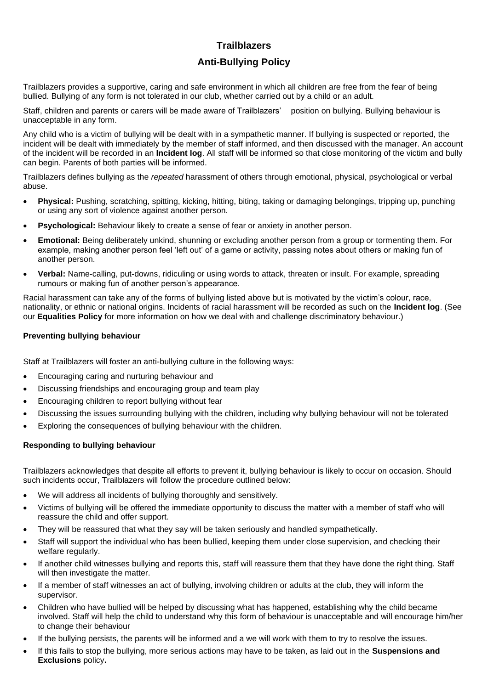# **Trailblazers Anti-Bullying Policy**

Trailblazers provides a supportive, caring and safe environment in which all children are free from the fear of being bullied. Bullying of any form is not tolerated in our club, whether carried out by a child or an adult.

Staff, children and parents or carers will be made aware of Trailblazers' position on bullying. Bullying behaviour is unacceptable in any form.

Any child who is a victim of bullying will be dealt with in a sympathetic manner. If bullying is suspected or reported, the incident will be dealt with immediately by the member of staff informed, and then discussed with the manager. An account of the incident will be recorded in an **Incident log**. All staff will be informed so that close monitoring of the victim and bully can begin. Parents of both parties will be informed.

Trailblazers defines bullying as the *repeated* harassment of others through emotional, physical, psychological or verbal abuse.

- **Physical:** Pushing, scratching, spitting, kicking, hitting, biting, taking or damaging belongings, tripping up, punching or using any sort of violence against another person.
- **Psychological:** Behaviour likely to create a sense of fear or anxiety in another person.
- **Emotional:** Being deliberately unkind, shunning or excluding another person from a group or tormenting them. For example, making another person feel 'left out' of a game or activity, passing notes about others or making fun of another person.
- **Verbal:** Name-calling, put-downs, ridiculing or using words to attack, threaten or insult. For example, spreading rumours or making fun of another person's appearance.

Racial harassment can take any of the forms of bullying listed above but is motivated by the victim's colour, race, nationality, or ethnic or national origins. Incidents of racial harassment will be recorded as such on the **Incident log**. (See our **Equalities Policy** for more information on how we deal with and challenge discriminatory behaviour.)

## **Preventing bullying behaviour**

Staff at Trailblazers will foster an anti-bullying culture in the following ways:

- Encouraging caring and nurturing behaviour and
- Discussing friendships and encouraging group and team play
- Encouraging children to report bullying without fear
- Discussing the issues surrounding bullying with the children, including why bullying behaviour will not be tolerated
- Exploring the consequences of bullying behaviour with the children.

## **Responding to bullying behaviour**

Trailblazers acknowledges that despite all efforts to prevent it, bullying behaviour is likely to occur on occasion. Should such incidents occur, Trailblazers will follow the procedure outlined below:

- We will address all incidents of bullying thoroughly and sensitively.
- Victims of bullying will be offered the immediate opportunity to discuss the matter with a member of staff who will reassure the child and offer support.
- They will be reassured that what they say will be taken seriously and handled sympathetically.
- Staff will support the individual who has been bullied, keeping them under close supervision, and checking their welfare regularly.
- If another child witnesses bullying and reports this, staff will reassure them that they have done the right thing. Staff will then investigate the matter.
- If a member of staff witnesses an act of bullying, involving children or adults at the club, they will inform the supervisor.
- Children who have bullied will be helped by discussing what has happened, establishing why the child became involved. Staff will help the child to understand why this form of behaviour is unacceptable and will encourage him/her to change their behaviour
- If the bullying persists, the parents will be informed and a we will work with them to try to resolve the issues.
- If this fails to stop the bullying, more serious actions may have to be taken, as laid out in the **Suspensions and Exclusions** policy**.**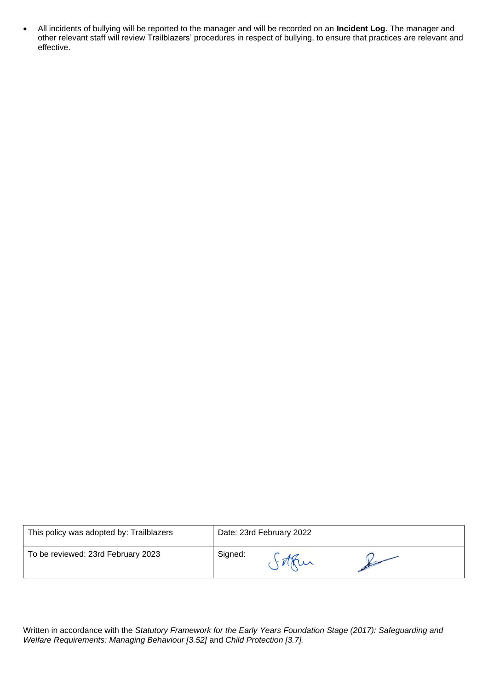• All incidents of bullying will be reported to the manager and will be recorded on an **Incident Log**. The manager and other relevant staff will review Trailblazers' procedures in respect of bullying, to ensure that practices are relevant and effective.

| This policy was adopted by: Trailblazers |         | Date: 23rd February 2022 |  |
|------------------------------------------|---------|--------------------------|--|
| To be reviewed: 23rd February 2023       | Signed: |                          |  |

Written in accordance with the *Statutory Framework for the Early Years Foundation Stage (2017): Safeguarding and Welfare Requirements: Managing Behaviour [3.52]* and *Child Protection [3.7].*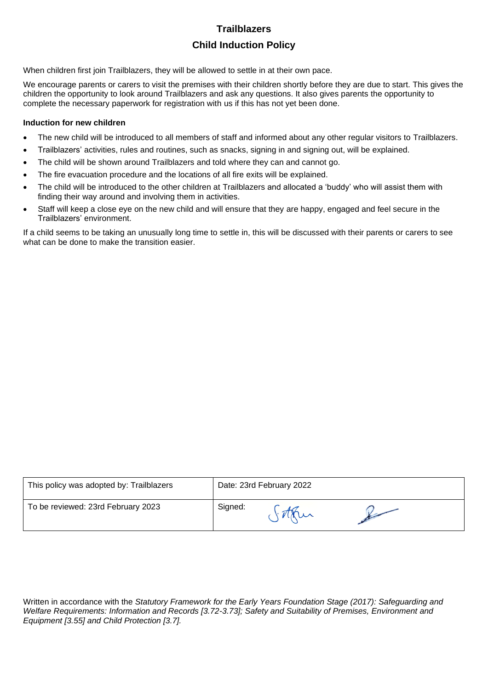# **Trailblazers Child Induction Policy**

When children first join Trailblazers, they will be allowed to settle in at their own pace.

We encourage parents or carers to visit the premises with their children shortly before they are due to start. This gives the children the opportunity to look around Trailblazers and ask any questions. It also gives parents the opportunity to complete the necessary paperwork for registration with us if this has not yet been done.

#### **Induction for new children**

- The new child will be introduced to all members of staff and informed about any other regular visitors to Trailblazers.
- Trailblazers' activities, rules and routines, such as snacks, signing in and signing out, will be explained.
- The child will be shown around Trailblazers and told where they can and cannot go.
- The fire evacuation procedure and the locations of all fire exits will be explained.
- The child will be introduced to the other children at Trailblazers and allocated a 'buddy' who will assist them with finding their way around and involving them in activities.
- Staff will keep a close eye on the new child and will ensure that they are happy, engaged and feel secure in the Trailblazers' environment.

If a child seems to be taking an unusually long time to settle in, this will be discussed with their parents or carers to see what can be done to make the transition easier.

| This policy was adopted by: Trailblazers |         | Date: 23rd February 2022 |  |
|------------------------------------------|---------|--------------------------|--|
| To be reviewed: 23rd February 2023       | Signed: |                          |  |

Written in accordance with the *Statutory Framework for the Early Years Foundation Stage (2017): Safeguarding and Welfare Requirements: Information and Records [3.72-3.73]; Safety and Suitability of Premises, Environment and Equipment [3.55] and Child Protection [3.7].*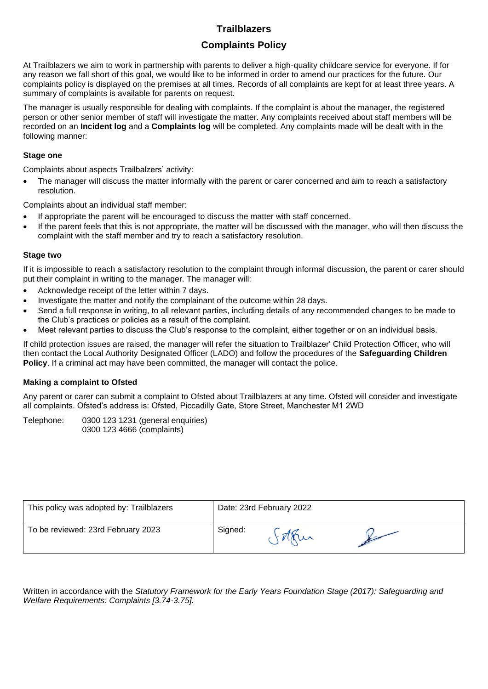# **Complaints Policy**

At Trailblazers we aim to work in partnership with parents to deliver a high-quality childcare service for everyone. If for any reason we fall short of this goal, we would like to be informed in order to amend our practices for the future. Our complaints policy is displayed on the premises at all times. Records of all complaints are kept for at least three years. A summary of complaints is available for parents on request.

The manager is usually responsible for dealing with complaints. If the complaint is about the manager, the registered person or other senior member of staff will investigate the matter. Any complaints received about staff members will be recorded on an **Incident log** and a **Complaints log** will be completed. Any complaints made will be dealt with in the following manner:

# **Stage one**

Complaints about aspects Trailbalzers' activity:

• The manager will discuss the matter informally with the parent or carer concerned and aim to reach a satisfactory resolution.

Complaints about an individual staff member:

- If appropriate the parent will be encouraged to discuss the matter with staff concerned.
- If the parent feels that this is not appropriate, the matter will be discussed with the manager, who will then discuss the complaint with the staff member and try to reach a satisfactory resolution.

## **Stage two**

If it is impossible to reach a satisfactory resolution to the complaint through informal discussion, the parent or carer should put their complaint in writing to the manager. The manager will:

- Acknowledge receipt of the letter within 7 days.
- Investigate the matter and notify the complainant of the outcome within 28 days.
- Send a full response in writing, to all relevant parties, including details of any recommended changes to be made to the Club's practices or policies as a result of the complaint.
- Meet relevant parties to discuss the Club's response to the complaint, either together or on an individual basis.

If child protection issues are raised, the manager will refer the situation to Trailblazer' Child Protection Officer, who will then contact the Local Authority Designated Officer (LADO) and follow the procedures of the **Safeguarding Children Policy**. If a criminal act may have been committed, the manager will contact the police.

## **Making a complaint to Ofsted**

Any parent or carer can submit a complaint to Ofsted about Trailblazers at any time. Ofsted will consider and investigate all complaints. Ofsted's address is: Ofsted, Piccadilly Gate, Store Street, Manchester M1 2WD

Telephone: 0300 123 1231 (general enquiries) 0300 123 4666 (complaints)

| This policy was adopted by: Trailblazers | Date: 23rd February 2022 |  |  |
|------------------------------------------|--------------------------|--|--|
| To be reviewed: 23rd February 2023       | Signed:                  |  |  |

Written in accordance with the *Statutory Framework for the Early Years Foundation Stage (2017): Safeguarding and Welfare Requirements: Complaints [3.74-3.75].*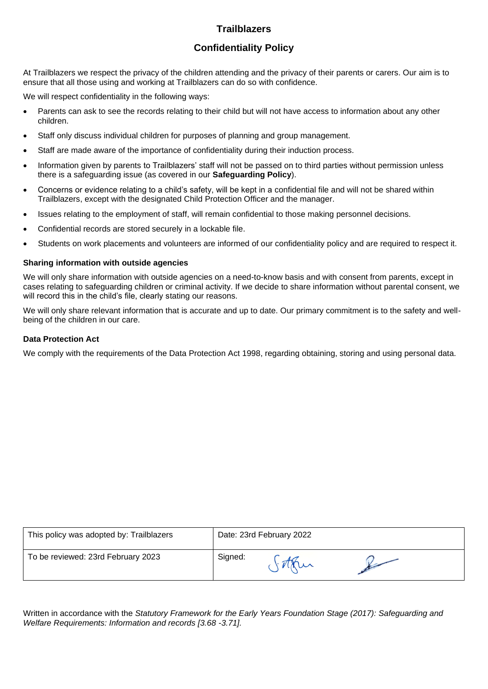# **Confidentiality Policy**

At Trailblazers we respect the privacy of the children attending and the privacy of their parents or carers. Our aim is to ensure that all those using and working at Trailblazers can do so with confidence.

We will respect confidentiality in the following ways:

- Parents can ask to see the records relating to their child but will not have access to information about any other children.
- Staff only discuss individual children for purposes of planning and group management.
- Staff are made aware of the importance of confidentiality during their induction process.
- Information given by parents to Trailblazers' staff will not be passed on to third parties without permission unless there is a safeguarding issue (as covered in our **Safeguarding Policy**).
- Concerns or evidence relating to a child's safety, will be kept in a confidential file and will not be shared within Trailblazers, except with the designated Child Protection Officer and the manager.
- Issues relating to the employment of staff, will remain confidential to those making personnel decisions.
- Confidential records are stored securely in a lockable file.
- Students on work placements and volunteers are informed of our confidentiality policy and are required to respect it.

#### **Sharing information with outside agencies**

We will only share information with outside agencies on a need-to-know basis and with consent from parents, except in cases relating to safeguarding children or criminal activity. If we decide to share information without parental consent, we will record this in the child's file, clearly stating our reasons.

We will only share relevant information that is accurate and up to date. Our primary commitment is to the safety and wellbeing of the children in our care.

## **Data Protection Act**

We comply with the requirements of the Data Protection Act 1998, regarding obtaining, storing and using personal data.

| This policy was adopted by: Trailblazers | Date: 23rd February 2022 |        |  |
|------------------------------------------|--------------------------|--------|--|
| To be reviewed: 23rd February 2023       | Signed:                  | $\sim$ |  |

Written in accordance with the *Statutory Framework for the Early Years Foundation Stage (2017): Safeguarding and Welfare Requirements: Information and records [3.68 -3.71].*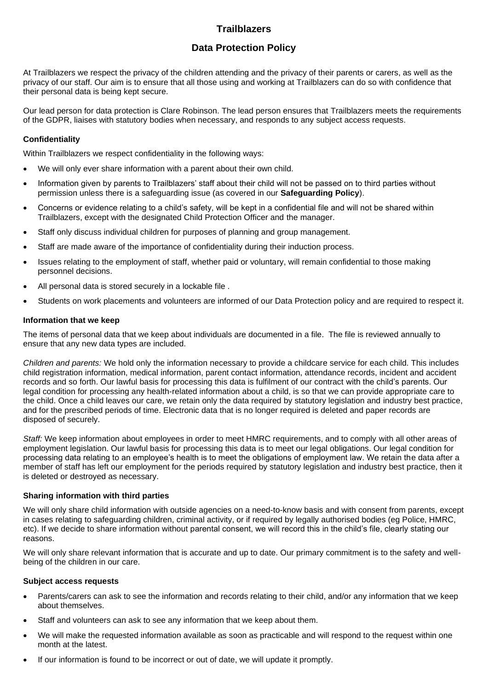# **Data Protection Policy**

At Trailblazers we respect the privacy of the children attending and the privacy of their parents or carers, as well as the privacy of our staff. Our aim is to ensure that all those using and working at Trailblazers can do so with confidence that their personal data is being kept secure.

Our lead person for data protection is Clare Robinson. The lead person ensures that Trailblazers meets the requirements of the GDPR, liaises with statutory bodies when necessary, and responds to any subject access requests.

# **Confidentiality**

Within Trailblazers we respect confidentiality in the following ways:

- We will only ever share information with a parent about their own child.
- Information given by parents to Trailblazers' staff about their child will not be passed on to third parties without permission unless there is a safeguarding issue (as covered in our **Safeguarding Policy**).
- Concerns or evidence relating to a child's safety, will be kept in a confidential file and will not be shared within Trailblazers, except with the designated Child Protection Officer and the manager.
- Staff only discuss individual children for purposes of planning and group management.
- Staff are made aware of the importance of confidentiality during their induction process.
- Issues relating to the employment of staff, whether paid or voluntary, will remain confidential to those making personnel decisions.
- All personal data is stored securely in a lockable file .
- Students on work placements and volunteers are informed of our Data Protection policy and are required to respect it.

# **Information that we keep**

The items of personal data that we keep about individuals are documented in a file. The file is reviewed annually to ensure that any new data types are included.

*Children and parents:* We hold only the information necessary to provide a childcare service for each child. This includes child registration information, medical information, parent contact information, attendance records, incident and accident records and so forth. Our lawful basis for processing this data is fulfilment of our contract with the child's parents. Our legal condition for processing any health-related information about a child, is so that we can provide appropriate care to the child. Once a child leaves our care, we retain only the data required by statutory legislation and industry best practice, and for the prescribed periods of time. Electronic data that is no longer required is deleted and paper records are disposed of securely.

*Staff:* We keep information about employees in order to meet HMRC requirements, and to comply with all other areas of employment legislation. Our lawful basis for processing this data is to meet our legal obligations. Our legal condition for processing data relating to an employee's health is to meet the obligations of employment law. We retain the data after a member of staff has left our employment for the periods required by statutory legislation and industry best practice, then it is deleted or destroyed as necessary.

## **Sharing information with third parties**

We will only share child information with outside agencies on a need-to-know basis and with consent from parents, except in cases relating to safeguarding children, criminal activity, or if required by legally authorised bodies (eg Police, HMRC, etc). If we decide to share information without parental consent, we will record this in the child's file, clearly stating our reasons.

We will only share relevant information that is accurate and up to date. Our primary commitment is to the safety and wellbeing of the children in our care.

## **Subject access requests**

- Parents/carers can ask to see the information and records relating to their child, and/or any information that we keep about themselves.
- Staff and volunteers can ask to see any information that we keep about them.
- We will make the requested information available as soon as practicable and will respond to the request within one month at the latest.
- If our information is found to be incorrect or out of date, we will update it promptly.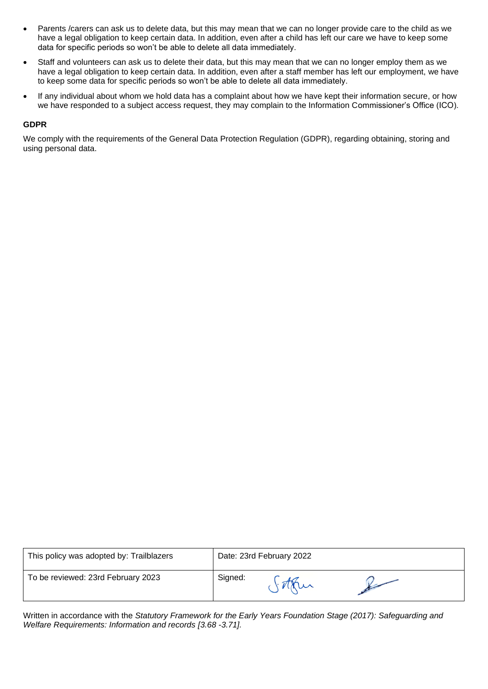- Parents /carers can ask us to delete data, but this may mean that we can no longer provide care to the child as we have a legal obligation to keep certain data. In addition, even after a child has left our care we have to keep some data for specific periods so won't be able to delete all data immediately.
- Staff and volunteers can ask us to delete their data, but this may mean that we can no longer employ them as we have a legal obligation to keep certain data. In addition, even after a staff member has left our employment, we have to keep some data for specific periods so won't be able to delete all data immediately.
- If any individual about whom we hold data has a complaint about how we have kept their information secure, or how we have responded to a subject access request, they may complain to the Information Commissioner's Office (ICO).

#### **GDPR**

We comply with the requirements of the General Data Protection Regulation (GDPR), regarding obtaining, storing and using personal data.

| This policy was adopted by: Trailblazers | Date: 23rd February 2022 |  |  |
|------------------------------------------|--------------------------|--|--|
| To be reviewed: 23rd February 2023       | Signed:                  |  |  |

Written in accordance with the *Statutory Framework for the Early Years Foundation Stage (2017): Safeguarding and Welfare Requirements: Information and records [3.68 -3.71].*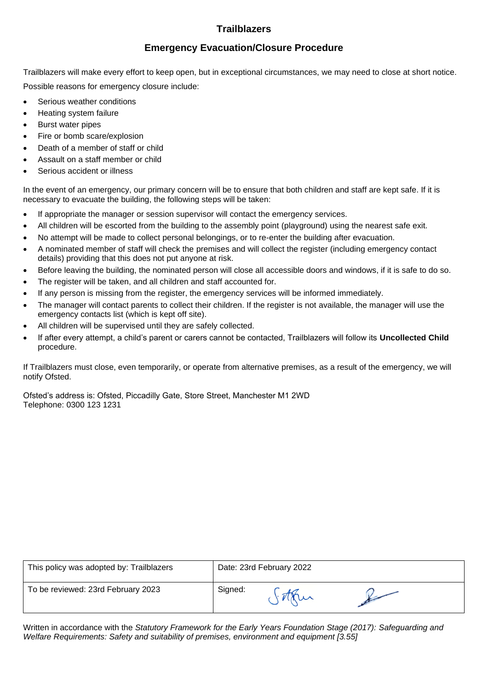# **Emergency Evacuation/Closure Procedure**

Trailblazers will make every effort to keep open, but in exceptional circumstances, we may need to close at short notice. Possible reasons for emergency closure include:

- Serious weather conditions
- Heating system failure
- Burst water pipes
- Fire or bomb scare/explosion
- Death of a member of staff or child
- Assault on a staff member or child
- Serious accident or illness

In the event of an emergency, our primary concern will be to ensure that both children and staff are kept safe. If it is necessary to evacuate the building, the following steps will be taken:

- If appropriate the manager or session supervisor will contact the emergency services.
- All children will be escorted from the building to the assembly point (playground) using the nearest safe exit.
- No attempt will be made to collect personal belongings, or to re-enter the building after evacuation.
- A nominated member of staff will check the premises and will collect the register (including emergency contact details) providing that this does not put anyone at risk.
- Before leaving the building, the nominated person will close all accessible doors and windows, if it is safe to do so.
- The register will be taken, and all children and staff accounted for.
- If any person is missing from the register, the emergency services will be informed immediately.
- The manager will contact parents to collect their children. If the register is not available, the manager will use the emergency contacts list (which is kept off site).
- All children will be supervised until they are safely collected.
- If after every attempt, a child's parent or carers cannot be contacted, Trailblazers will follow its **Uncollected Child** procedure.

If Trailblazers must close, even temporarily, or operate from alternative premises, as a result of the emergency, we will notify Ofsted.

Ofsted's address is: Ofsted, Piccadilly Gate, Store Street, Manchester M1 2WD Telephone: 0300 123 1231

| This policy was adopted by: Trailblazers | Date: 23rd February 2022 |  |  |
|------------------------------------------|--------------------------|--|--|
| To be reviewed: 23rd February 2023       | Signed:                  |  |  |

Written in accordance with the *Statutory Framework for the Early Years Foundation Stage (2017): Safeguarding and Welfare Requirements: Safety and suitability of premises, environment and equipment [3.55]*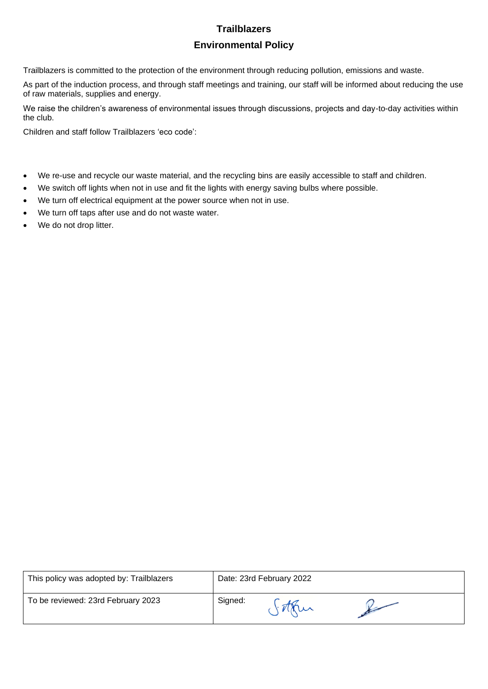# **Trailblazers Environmental Policy**

Trailblazers is committed to the protection of the environment through reducing pollution, emissions and waste.

As part of the induction process, and through staff meetings and training, our staff will be informed about reducing the use of raw materials, supplies and energy.

We raise the children's awareness of environmental issues through discussions, projects and day-to-day activities within the club.

Children and staff follow Trailblazers 'eco code':

- We re-use and recycle our waste material, and the recycling bins are easily accessible to staff and children.
- We switch off lights when not in use and fit the lights with energy saving bulbs where possible.
- We turn off electrical equipment at the power source when not in use.
- We turn off taps after use and do not waste water.
- We do not drop litter.

| This policy was adopted by: Trailblazers |         | Date: 23rd February 2022 |  |
|------------------------------------------|---------|--------------------------|--|
| To be reviewed: 23rd February 2023       | Signed: |                          |  |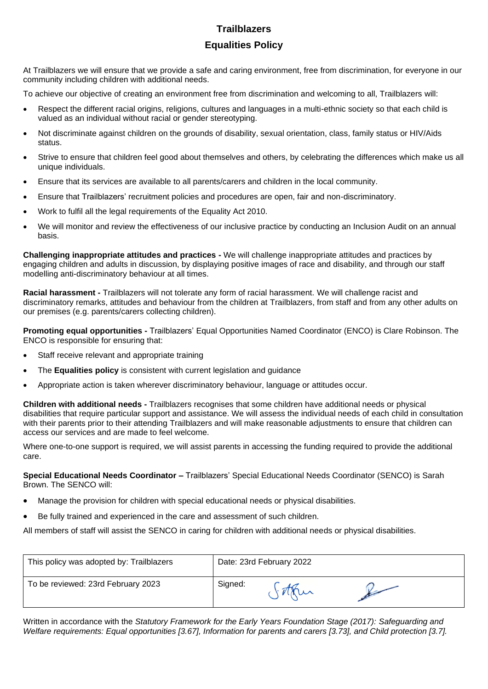# **Trailblazers Equalities Policy**

At Trailblazers we will ensure that we provide a safe and caring environment, free from discrimination, for everyone in our community including children with additional needs.

To achieve our objective of creating an environment free from discrimination and welcoming to all, Trailblazers will:

- Respect the different racial origins, religions, cultures and languages in a multi-ethnic society so that each child is valued as an individual without racial or gender stereotyping.
- Not discriminate against children on the grounds of disability, sexual orientation, class, family status or HIV/Aids status.
- Strive to ensure that children feel good about themselves and others, by celebrating the differences which make us all unique individuals.
- Ensure that its services are available to all parents/carers and children in the local community.
- Ensure that Trailblazers' recruitment policies and procedures are open, fair and non-discriminatory.
- Work to fulfil all the legal requirements of the Equality Act 2010.
- We will monitor and review the effectiveness of our inclusive practice by conducting an Inclusion Audit on an annual basis.

**Challenging inappropriate attitudes and practices -** We will challenge inappropriate attitudes and practices by engaging children and adults in discussion, by displaying positive images of race and disability, and through our staff modelling anti-discriminatory behaviour at all times.

**Racial harassment -** Trailblazers will not tolerate any form of racial harassment. We will challenge racist and discriminatory remarks, attitudes and behaviour from the children at Trailblazers, from staff and from any other adults on our premises (e.g. parents/carers collecting children).

**Promoting equal opportunities -** Trailblazers' Equal Opportunities Named Coordinator (ENCO) is Clare Robinson. The ENCO is responsible for ensuring that:

- Staff receive relevant and appropriate training
- The **Equalities policy** is consistent with current legislation and guidance
- Appropriate action is taken wherever discriminatory behaviour, language or attitudes occur.

**Children with additional needs -** Trailblazers recognises that some children have additional needs or physical disabilities that require particular support and assistance. We will assess the individual needs of each child in consultation with their parents prior to their attending Trailblazers and will make reasonable adjustments to ensure that children can access our services and are made to feel welcome.

Where one-to-one support is required, we will assist parents in accessing the funding required to provide the additional care.

**Special Educational Needs Coordinator –** Trailblazers' Special Educational Needs Coordinator (SENCO) is Sarah Brown. The SENCO will:

- Manage the provision for children with special educational needs or physical disabilities.
- Be fully trained and experienced in the care and assessment of such children.

All members of staff will assist the SENCO in caring for children with additional needs or physical disabilities.

| This policy was adopted by: Trailblazers | Date: 23rd February 2022 |   |  |
|------------------------------------------|--------------------------|---|--|
| To be reviewed: 23rd February 2023       | Signed:                  | u |  |

Written in accordance with the *Statutory Framework for the Early Years Foundation Stage (2017): Safeguarding and Welfare requirements: Equal opportunities [3.67], Information for parents and carers [3.73], and Child protection [3.7].*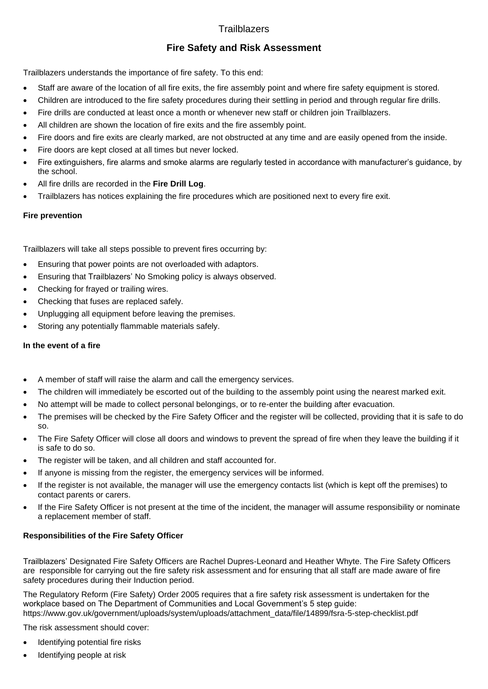# **Fire Safety and Risk Assessment**

Trailblazers understands the importance of fire safety. To this end:

- Staff are aware of the location of all fire exits, the fire assembly point and where fire safety equipment is stored.
- Children are introduced to the fire safety procedures during their settling in period and through regular fire drills.
- Fire drills are conducted at least once a month or whenever new staff or children join Trailblazers.
- All children are shown the location of fire exits and the fire assembly point.
- Fire doors and fire exits are clearly marked, are not obstructed at any time and are easily opened from the inside.
- Fire doors are kept closed at all times but never locked.
- Fire extinguishers, fire alarms and smoke alarms are regularly tested in accordance with manufacturer's guidance, by the school.
- All fire drills are recorded in the **Fire Drill Log**.
- Trailblazers has notices explaining the fire procedures which are positioned next to every fire exit.

# **Fire prevention**

Trailblazers will take all steps possible to prevent fires occurring by:

- Ensuring that power points are not overloaded with adaptors.
- Ensuring that Trailblazers' No Smoking policy is always observed.
- Checking for frayed or trailing wires.
- Checking that fuses are replaced safely.
- Unplugging all equipment before leaving the premises.
- Storing any potentially flammable materials safely.

# **In the event of a fire**

- A member of staff will raise the alarm and call the emergency services.
- The children will immediately be escorted out of the building to the assembly point using the nearest marked exit.
- No attempt will be made to collect personal belongings, or to re-enter the building after evacuation.
- The premises will be checked by the Fire Safety Officer and the register will be collected, providing that it is safe to do so.
- The Fire Safety Officer will close all doors and windows to prevent the spread of fire when they leave the building if it is safe to do so.
- The register will be taken, and all children and staff accounted for.
- If anyone is missing from the register, the emergency services will be informed.
- If the register is not available, the manager will use the emergency contacts list (which is kept off the premises) to contact parents or carers.
- If the Fire Safety Officer is not present at the time of the incident, the manager will assume responsibility or nominate a replacement member of staff.

# **Responsibilities of the Fire Safety Officer**

Trailblazers' Designated Fire Safety Officers are Rachel Dupres-Leonard and Heather Whyte. The Fire Safety Officers are responsible for carrying out the fire safety risk assessment and for ensuring that all staff are made aware of fire safety procedures during their Induction period.

The Regulatory Reform (Fire Safety) Order 2005 requires that a fire safety risk assessment is undertaken for the workplace based on The Department of Communities and Local Government's 5 step guide: https://www.gov.uk/government/uploads/system/uploads/attachment\_data/file/14899/fsra-5-step-checklist.pdf

The risk assessment should cover:

- Identifying potential fire risks
- Identifying people at risk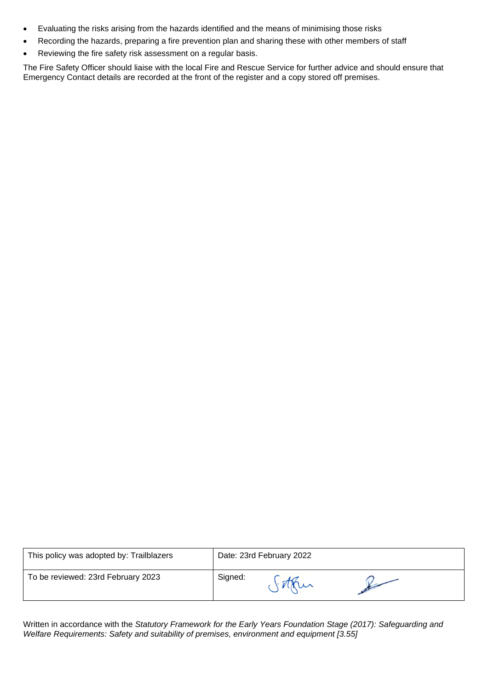- Evaluating the risks arising from the hazards identified and the means of minimising those risks
- Recording the hazards, preparing a fire prevention plan and sharing these with other members of staff
- Reviewing the fire safety risk assessment on a regular basis.

The Fire Safety Officer should liaise with the local Fire and Rescue Service for further advice and should ensure that Emergency Contact details are recorded at the front of the register and a copy stored off premises.

| This policy was adopted by: Trailblazers | Date: 23rd February 2022 |  |
|------------------------------------------|--------------------------|--|
| To be reviewed: 23rd February 2023       | Signed:<br>$\sim$        |  |

Written in accordance with the *Statutory Framework for the Early Years Foundation Stage (2017): Safeguarding and Welfare Requirements: Safety and suitability of premises, environment and equipment [3.55]*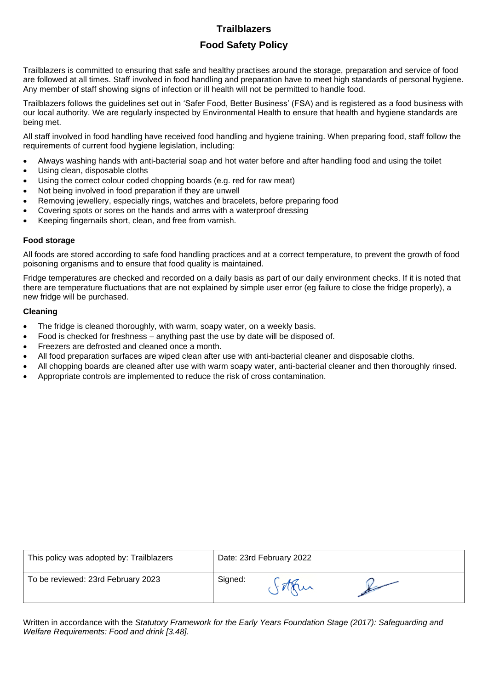# **Food Safety Policy**

Trailblazers is committed to ensuring that safe and healthy practises around the storage, preparation and service of food are followed at all times. Staff involved in food handling and preparation have to meet high standards of personal hygiene. Any member of staff showing signs of infection or ill health will not be permitted to handle food.

Trailblazers follows the guidelines set out in 'Safer Food, Better Business' (FSA) and is registered as a food business with our local authority. We are regularly inspected by Environmental Health to ensure that health and hygiene standards are being met.

All staff involved in food handling have received food handling and hygiene training. When preparing food, staff follow the requirements of current food hygiene legislation, including:

- Always washing hands with anti-bacterial soap and hot water before and after handling food and using the toilet
- Using clean, disposable cloths
- Using the correct colour coded chopping boards (e.g. red for raw meat)
- Not being involved in food preparation if they are unwell
- Removing jewellery, especially rings, watches and bracelets, before preparing food
- Covering spots or sores on the hands and arms with a waterproof dressing
- Keeping fingernails short, clean, and free from varnish.

## **Food storage**

All foods are stored according to safe food handling practices and at a correct temperature, to prevent the growth of food poisoning organisms and to ensure that food quality is maintained.

Fridge temperatures are checked and recorded on a daily basis as part of our daily environment checks. If it is noted that there are temperature fluctuations that are not explained by simple user error (eg failure to close the fridge properly), a new fridge will be purchased.

# **Cleaning**

- The fridge is cleaned thoroughly, with warm, soapy water, on a weekly basis.
- Food is checked for freshness anything past the use by date will be disposed of.
- Freezers are defrosted and cleaned once a month.
- All food preparation surfaces are wiped clean after use with anti-bacterial cleaner and disposable cloths.
- All chopping boards are cleaned after use with warm soapy water, anti-bacterial cleaner and then thoroughly rinsed.
- Appropriate controls are implemented to reduce the risk of cross contamination.

| This policy was adopted by: Trailblazers | Date: 23rd February 2022 |  |  |
|------------------------------------------|--------------------------|--|--|
| To be reviewed: 23rd February 2023       | Signed:                  |  |  |

Written in accordance with the *Statutory Framework for the Early Years Foundation Stage (2017): Safeguarding and Welfare Requirements: Food and drink [3.48].*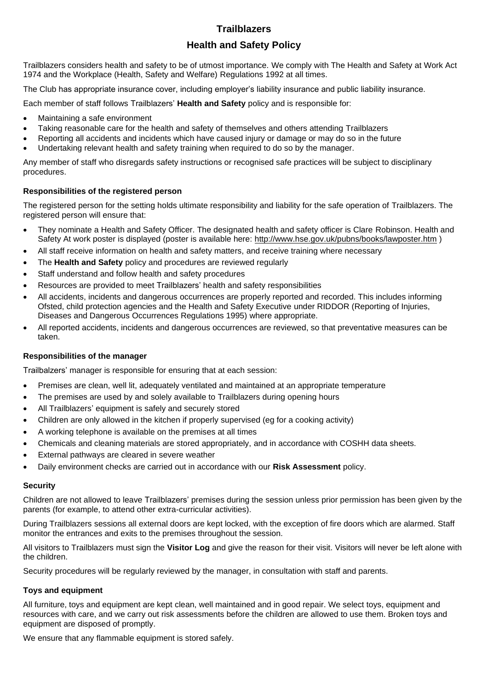# **Health and Safety Policy**

Trailblazers considers health and safety to be of utmost importance. We comply with The Health and Safety at Work Act 1974 and the Workplace (Health, Safety and Welfare) Regulations 1992 at all times.

The Club has appropriate insurance cover, including employer's liability insurance and public liability insurance.

Each member of staff follows Trailblazers' **Health and Safety** policy and is responsible for:

- Maintaining a safe environment
- Taking reasonable care for the health and safety of themselves and others attending Trailblazers
- Reporting all accidents and incidents which have caused injury or damage or may do so in the future
- Undertaking relevant health and safety training when required to do so by the manager.

Any member of staff who disregards safety instructions or recognised safe practices will be subject to disciplinary procedures.

# **Responsibilities of the registered person**

The registered person for the setting holds ultimate responsibility and liability for the safe operation of Trailblazers. The registered person will ensure that:

- They nominate a Health and Safety Officer. The designated health and safety officer is Clare Robinson. Health and Safety At work poster is displayed (poster is available here:<http://www.hse.gov.uk/pubns/books/lawposter.htm> )
- All staff receive information on health and safety matters, and receive training where necessary
- The **Health and Safety** policy and procedures are reviewed regularly
- Staff understand and follow health and safety procedures
- Resources are provided to meet Trailblazers' health and safety responsibilities
- All accidents, incidents and dangerous occurrences are properly reported and recorded. This includes informing Ofsted, child protection agencies and the Health and Safety Executive under RIDDOR (Reporting of Injuries, Diseases and Dangerous Occurrences Regulations 1995) where appropriate.
- All reported accidents, incidents and dangerous occurrences are reviewed, so that preventative measures can be taken.

## **Responsibilities of the manager**

Trailbalzers' manager is responsible for ensuring that at each session:

- Premises are clean, well lit, adequately ventilated and maintained at an appropriate temperature
- The premises are used by and solely available to Trailblazers during opening hours
- All Trailblazers' equipment is safely and securely stored
- Children are only allowed in the kitchen if properly supervised (eg for a cooking activity)
- A working telephone is available on the premises at all times
- Chemicals and cleaning materials are stored appropriately, and in accordance with COSHH data sheets.
- External pathways are cleared in severe weather
- Daily environment checks are carried out in accordance with our **Risk Assessment** policy.

## **Security**

Children are not allowed to leave Trailblazers' premises during the session unless prior permission has been given by the parents (for example, to attend other extra-curricular activities).

During Trailblazers sessions all external doors are kept locked, with the exception of fire doors which are alarmed. Staff monitor the entrances and exits to the premises throughout the session.

All visitors to Trailblazers must sign the **Visitor Log** and give the reason for their visit. Visitors will never be left alone with the children.

Security procedures will be regularly reviewed by the manager, in consultation with staff and parents.

## **Toys and equipment**

All furniture, toys and equipment are kept clean, well maintained and in good repair. We select toys, equipment and resources with care, and we carry out risk assessments before the children are allowed to use them. Broken toys and equipment are disposed of promptly.

We ensure that any flammable equipment is stored safely.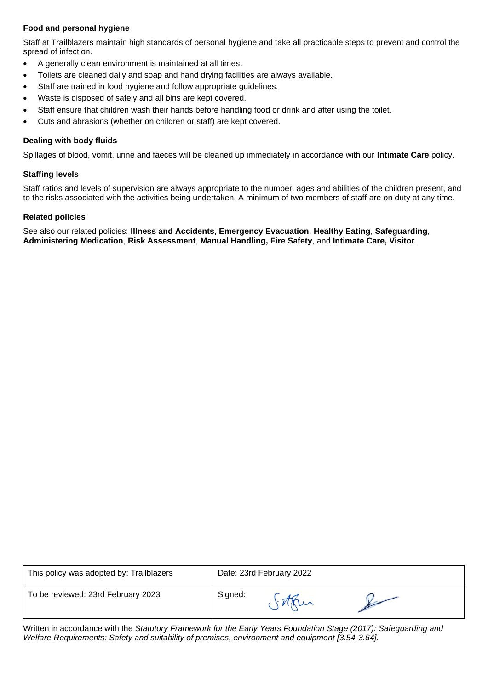# **Food and personal hygiene**

Staff at Trailblazers maintain high standards of personal hygiene and take all practicable steps to prevent and control the spread of infection.

- A generally clean environment is maintained at all times.
- Toilets are cleaned daily and soap and hand drying facilities are always available.
- Staff are trained in food hygiene and follow appropriate guidelines.
- Waste is disposed of safely and all bins are kept covered.
- Staff ensure that children wash their hands before handling food or drink and after using the toilet.
- Cuts and abrasions (whether on children or staff) are kept covered.

# **Dealing with body fluids**

Spillages of blood, vomit, urine and faeces will be cleaned up immediately in accordance with our **Intimate Care** policy.

#### **Staffing levels**

Staff ratios and levels of supervision are always appropriate to the number, ages and abilities of the children present, and to the risks associated with the activities being undertaken. A minimum of two members of staff are on duty at any time.

#### **Related policies**

See also our related policies: **Illness and Accidents**, **Emergency Evacuation**, **Healthy Eating**, **Safeguarding**, **Administering Medication**, **Risk Assessment**, **Manual Handling, Fire Safety**, and **Intimate Care, Visitor**.

| This policy was adopted by: Trailblazers |         | Date: 23rd February 2022 |  |
|------------------------------------------|---------|--------------------------|--|
| To be reviewed: 23rd February 2023       | Signed: |                          |  |

Written in accordance with the *Statutory Framework for the Early Years Foundation Stage (2017): Safeguarding and Welfare Requirements: Safety and suitability of premises, environment and equipment [3.54-3.64].*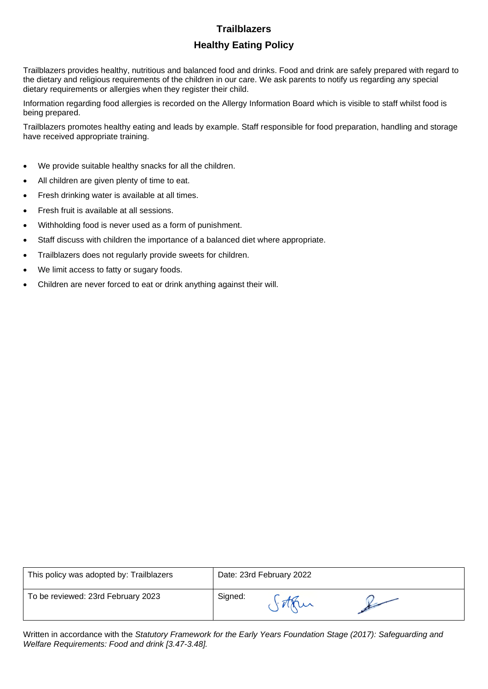# **Healthy Eating Policy**

Trailblazers provides healthy, nutritious and balanced food and drinks. Food and drink are safely prepared with regard to the dietary and religious requirements of the children in our care. We ask parents to notify us regarding any special dietary requirements or allergies when they register their child.

Information regarding food allergies is recorded on the Allergy Information Board which is visible to staff whilst food is being prepared.

Trailblazers promotes healthy eating and leads by example. Staff responsible for food preparation, handling and storage have received appropriate training.

- We provide suitable healthy snacks for all the children.
- All children are given plenty of time to eat.
- Fresh drinking water is available at all times.
- Fresh fruit is available at all sessions.
- Withholding food is never used as a form of punishment.
- Staff discuss with children the importance of a balanced diet where appropriate.
- Trailblazers does not regularly provide sweets for children.
- We limit access to fatty or sugary foods.
- Children are never forced to eat or drink anything against their will.

| This policy was adopted by: Trailblazers | Date: 23rd February 2022 |  |  |
|------------------------------------------|--------------------------|--|--|
| To be reviewed: 23rd February 2023       | Signed:                  |  |  |

Written in accordance with the *Statutory Framework for the Early Years Foundation Stage (2017): Safeguarding and Welfare Requirements: Food and drink [3.47-3.48].*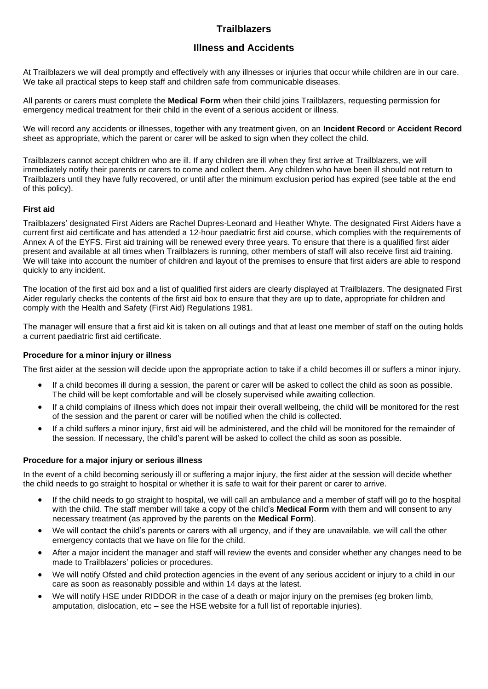# **Illness and Accidents**

At Trailblazers we will deal promptly and effectively with any illnesses or injuries that occur while children are in our care. We take all practical steps to keep staff and children safe from communicable diseases.

All parents or carers must complete the **Medical Form** when their child joins Trailblazers, requesting permission for emergency medical treatment for their child in the event of a serious accident or illness.

We will record any accidents or illnesses, together with any treatment given, on an **Incident Record** or **Accident Record** sheet as appropriate, which the parent or carer will be asked to sign when they collect the child.

Trailblazers cannot accept children who are ill. If any children are ill when they first arrive at Trailblazers, we will immediately notify their parents or carers to come and collect them. Any children who have been ill should not return to Trailblazers until they have fully recovered, or until after the minimum exclusion period has expired (see table at the end of this policy).

#### **First aid**

Trailblazers' designated First Aiders are Rachel Dupres-Leonard and Heather Whyte. The designated First Aiders have a current first aid certificate and has attended a 12-hour paediatric first aid course, which complies with the requirements of Annex A of the EYFS. First aid training will be renewed every three years. To ensure that there is a qualified first aider present and available at all times when Trailblazers is running, other members of staff will also receive first aid training. We will take into account the number of children and layout of the premises to ensure that first aiders are able to respond quickly to any incident.

The location of the first aid box and a list of qualified first aiders are clearly displayed at Trailblazers. The designated First Aider regularly checks the contents of the first aid box to ensure that they are up to date, appropriate for children and comply with the Health and Safety (First Aid) Regulations 1981.

The manager will ensure that a first aid kit is taken on all outings and that at least one member of staff on the outing holds a current paediatric first aid certificate.

# **Procedure for a minor injury or illness**

The first aider at the session will decide upon the appropriate action to take if a child becomes ill or suffers a minor injury.

- If a child becomes ill during a session, the parent or carer will be asked to collect the child as soon as possible. The child will be kept comfortable and will be closely supervised while awaiting collection.
- If a child complains of illness which does not impair their overall wellbeing, the child will be monitored for the rest of the session and the parent or carer will be notified when the child is collected.
- If a child suffers a minor injury, first aid will be administered, and the child will be monitored for the remainder of the session. If necessary, the child's parent will be asked to collect the child as soon as possible.

#### **Procedure for a major injury or serious illness**

In the event of a child becoming seriously ill or suffering a major injury, the first aider at the session will decide whether the child needs to go straight to hospital or whether it is safe to wait for their parent or carer to arrive.

- If the child needs to go straight to hospital, we will call an ambulance and a member of staff will go to the hospital with the child. The staff member will take a copy of the child's **Medical Form** with them and will consent to any necessary treatment (as approved by the parents on the **Medical Form**).
- We will contact the child's parents or carers with all urgency, and if they are unavailable, we will call the other emergency contacts that we have on file for the child.
- After a major incident the manager and staff will review the events and consider whether any changes need to be made to Trailblazers' policies or procedures.
- We will notify Ofsted and child protection agencies in the event of any serious accident or injury to a child in our care as soon as reasonably possible and within 14 days at the latest.
- We will notify HSE under RIDDOR in the case of a death or major injury on the premises (eg broken limb, amputation, dislocation, etc – see the HSE website for a full list of reportable injuries).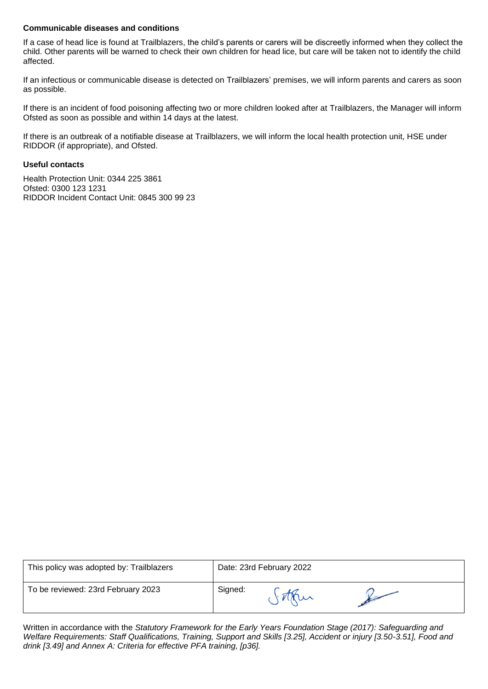# **Communicable diseases and conditions**

If a case of head lice is found at Trailblazers, the child's parents or carers will be discreetly informed when they collect the child. Other parents will be warned to check their own children for head lice, but care will be taken not to identify the child affected.

If an infectious or communicable disease is detected on Trailblazers' premises, we will inform parents and carers as soon as possible.

If there is an incident of food poisoning affecting two or more children looked after at Trailblazers, the Manager will inform Ofsted as soon as possible and within 14 days at the latest.

If there is an outbreak of a notifiable disease at Trailblazers, we will inform the local health protection unit, HSE under RIDDOR (if appropriate), and Ofsted.

#### **Useful contacts**

Health Protection Unit: 0344 225 3861 Ofsted: 0300 123 1231 RIDDOR Incident Contact Unit: 0845 300 99 23

| This policy was adopted by: Trailblazers | Date: 23rd February 2022 |  |  |
|------------------------------------------|--------------------------|--|--|
| To be reviewed: 23rd February 2023       | Signed:                  |  |  |

Written in accordance with the *Statutory Framework for the Early Years Foundation Stage (2017): Safeguarding and Welfare Requirements: Staff Qualifications, Training, Support and Skills [3.25], Accident or injury [3.50-3.51], Food and drink [3.49] and Annex A: Criteria for effective PFA training, [p36].*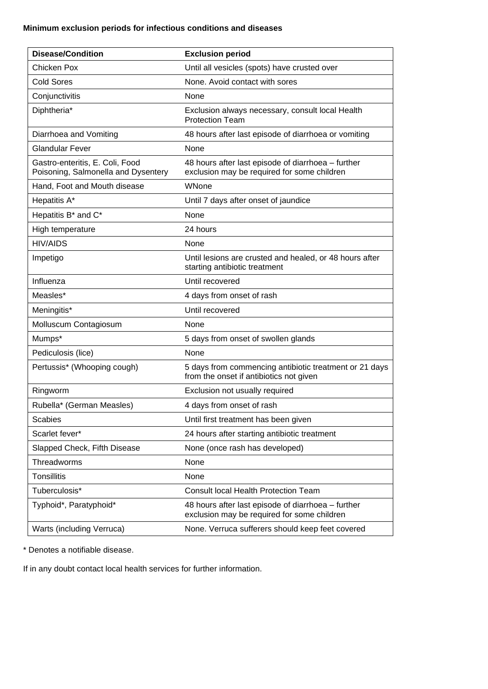# **Minimum exclusion periods for infectious conditions and diseases**

| <b>Disease/Condition</b>                                               | <b>Exclusion period</b>                                                                           |
|------------------------------------------------------------------------|---------------------------------------------------------------------------------------------------|
| <b>Chicken Pox</b>                                                     | Until all vesicles (spots) have crusted over                                                      |
| <b>Cold Sores</b>                                                      | None. Avoid contact with sores                                                                    |
| Conjunctivitis                                                         | None                                                                                              |
| Diphtheria*                                                            | Exclusion always necessary, consult local Health<br><b>Protection Team</b>                        |
| Diarrhoea and Vomiting                                                 | 48 hours after last episode of diarrhoea or vomiting                                              |
| <b>Glandular Fever</b>                                                 | None                                                                                              |
| Gastro-enteritis, E. Coli, Food<br>Poisoning, Salmonella and Dysentery | 48 hours after last episode of diarrhoea - further<br>exclusion may be required for some children |
| Hand, Foot and Mouth disease                                           | WNone                                                                                             |
| Hepatitis A*                                                           | Until 7 days after onset of jaundice                                                              |
| Hepatitis B* and C*                                                    | None                                                                                              |
| High temperature                                                       | 24 hours                                                                                          |
| <b>HIV/AIDS</b>                                                        | None                                                                                              |
| Impetigo                                                               | Until lesions are crusted and healed, or 48 hours after<br>starting antibiotic treatment          |
| Influenza                                                              | Until recovered                                                                                   |
| Measles*                                                               | 4 days from onset of rash                                                                         |
| Meningitis*                                                            | Until recovered                                                                                   |
| Molluscum Contagiosum                                                  | None                                                                                              |
| Mumps*                                                                 | 5 days from onset of swollen glands                                                               |
| Pediculosis (lice)                                                     | None                                                                                              |
| Pertussis* (Whooping cough)                                            | 5 days from commencing antibiotic treatment or 21 days<br>from the onset if antibiotics not given |
| Ringworm                                                               | Exclusion not usually required                                                                    |
| Rubella* (German Measles)                                              | 4 days from onset of rash                                                                         |
| <b>Scabies</b>                                                         | Until first treatment has been given                                                              |
| Scarlet fever*                                                         | 24 hours after starting antibiotic treatment                                                      |
| Slapped Check, Fifth Disease                                           | None (once rash has developed)                                                                    |
| Threadworms                                                            | None                                                                                              |
| <b>Tonsillitis</b>                                                     | None                                                                                              |
| Tuberculosis*                                                          | <b>Consult local Health Protection Team</b>                                                       |
| Typhoid*, Paratyphoid*                                                 | 48 hours after last episode of diarrhoea - further<br>exclusion may be required for some children |
| Warts (including Verruca)                                              | None. Verruca sufferers should keep feet covered                                                  |

\* Denotes a notifiable disease.

If in any doubt contact local health services for further information.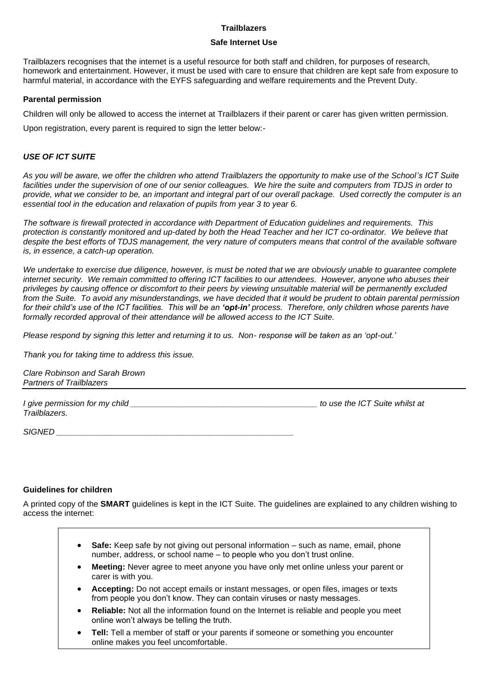#### **Safe Internet Use**

Trailblazers recognises that the internet is a useful resource for both staff and children, for purposes of research, homework and entertainment. However, it must be used with care to ensure that children are kept safe from exposure to harmful material, in accordance with the EYFS safeguarding and welfare requirements and the Prevent Duty.

#### **Parental permission**

Children will only be allowed to access the internet at Trailblazers if their parent or carer has given written permission.

Upon registration, every parent is required to sign the letter below:-

# *USE OF ICT SUITE*

*As you will be aware, we offer the children who attend Trailblazers the opportunity to make use of the School's ICT Suite facilities under the supervision of one of our senior colleagues. We hire the suite and computers from TDJS in order to provide, what we consider to be, an important and integral part of our overall package. Used correctly the computer is an essential tool in the education and relaxation of pupils from year 3 to year 6.*

*The software is firewall protected in accordance with Department of Education guidelines and requirements. This protection is constantly monitored and up-dated by both the Head Teacher and her ICT co-ordinator. We believe that despite the best efforts of TDJS management, the very nature of computers means that control of the available software is, in essence, a catch-up operation.*

We undertake to exercise due diligence, however, is must be noted that we are obviously unable to guarantee complete *internet security. We remain committed to offering ICT facilities to our attendees. However, anyone who abuses their privileges by causing offence or discomfort to their peers by viewing unsuitable material will be permanently excluded from the Suite. To avoid any misunderstandings, we have decided that it would be prudent to obtain parental permission*  for their child's use of the ICT facilities. This will be an 'opt-in' process. Therefore, only children whose parents have *formally recorded approval of their attendance will be allowed access to the ICT Suite.*

*Please respond by signing this letter and returning it to us. Non- response will be taken as an 'opt-out.'*

*Thank you for taking time to address this issue.*

*Clare Robinson and Sarah Brown Partners of Trailblazers*

| I give permission for my child | to use the ICT Suite whilst at |
|--------------------------------|--------------------------------|
| Trailblazers.                  |                                |

*SIGNED \_\_\_\_\_\_\_\_\_\_\_\_\_\_\_\_\_\_\_\_\_\_\_\_\_\_\_\_\_\_\_\_\_\_\_\_\_\_\_\_\_\_\_\_\_\_\_\_\_\_\_\_*

## **Guidelines for children**

A printed copy of the **SMART** guidelines is kept in the ICT Suite. The guidelines are explained to any children wishing to access the internet:

- **Safe:** Keep safe by not giving out personal information such as name, email, phone number, address, or school name – to people who you don't trust online.
- **Meeting:** Never agree to meet anyone you have only met online unless your parent or carer is with you.
- **Accepting:** Do not accept emails or instant messages, or open files, images or texts from people you don't know. They can contain viruses or nasty messages.
- **Reliable:** Not all the information found on the Internet is reliable and people you meet online won't always be telling the truth.
- **Tell:** Tell a member of staff or your parents if someone or something you encounter online makes you feel uncomfortable.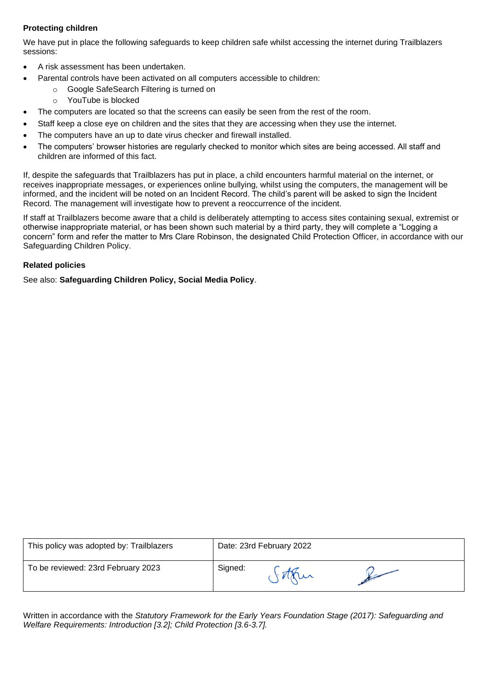# **Protecting children**

We have put in place the following safeguards to keep children safe whilst accessing the internet during Trailblazers sessions:

- A risk assessment has been undertaken.
- Parental controls have been activated on all computers accessible to children:
	- o Google SafeSearch Filtering is turned on
	- o YouTube is blocked
- The computers are located so that the screens can easily be seen from the rest of the room.
- Staff keep a close eye on children and the sites that they are accessing when they use the internet.
- The computers have an up to date virus checker and firewall installed.
- The computers' browser histories are regularly checked to monitor which sites are being accessed. All staff and children are informed of this fact.

If, despite the safeguards that Trailblazers has put in place, a child encounters harmful material on the internet, or receives inappropriate messages, or experiences online bullying, whilst using the computers, the management will be informed, and the incident will be noted on an Incident Record. The child's parent will be asked to sign the Incident Record. The management will investigate how to prevent a reoccurrence of the incident.

If staff at Trailblazers become aware that a child is deliberately attempting to access sites containing sexual, extremist or otherwise inappropriate material, or has been shown such material by a third party, they will complete a "Logging a concern" form and refer the matter to Mrs Clare Robinson, the designated Child Protection Officer, in accordance with our Safeguarding Children Policy.

# **Related policies**

See also: **Safeguarding Children Policy, Social Media Policy**.

| This policy was adopted by: Trailblazers | Date: 23rd February 2022 |  |
|------------------------------------------|--------------------------|--|
| To be reviewed: 23rd February 2023       | Signed:                  |  |

Written in accordance with the *Statutory Framework for the Early Years Foundation Stage (2017): Safeguarding and Welfare Requirements: Introduction [3.2]; Child Protection [3.6-3.7].*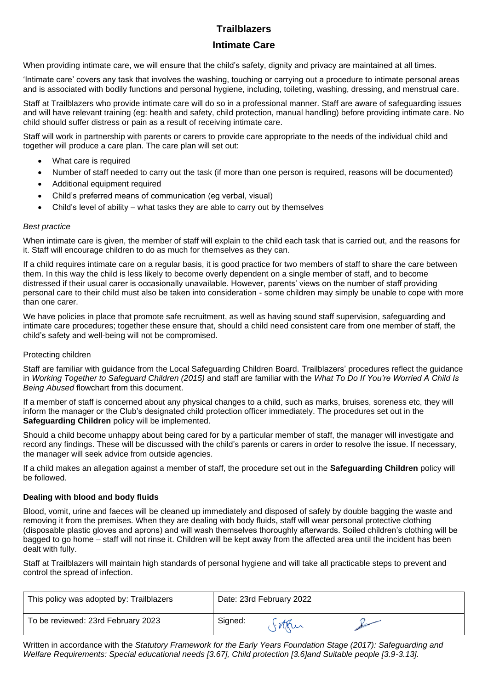# **Intimate Care**

When providing intimate care, we will ensure that the child's safety, dignity and privacy are maintained at all times.

'Intimate care' covers any task that involves the washing, touching or carrying out a procedure to intimate personal areas and is associated with bodily functions and personal hygiene, including, toileting, washing, dressing, and menstrual care.

Staff at Trailblazers who provide intimate care will do so in a professional manner. Staff are aware of safeguarding issues and will have relevant training (eg: health and safety, child protection, manual handling) before providing intimate care. No child should suffer distress or pain as a result of receiving intimate care.

Staff will work in partnership with parents or carers to provide care appropriate to the needs of the individual child and together will produce a care plan. The care plan will set out:

- What care is required
- Number of staff needed to carry out the task (if more than one person is required, reasons will be documented)
- Additional equipment required
- Child's preferred means of communication (eg verbal, visual)
- Child's level of ability what tasks they are able to carry out by themselves

# *Best practice*

When intimate care is given, the member of staff will explain to the child each task that is carried out, and the reasons for it. Staff will encourage children to do as much for themselves as they can.

If a child requires intimate care on a regular basis, it is good practice for two members of staff to share the care between them. In this way the child is less likely to become overly dependent on a single member of staff, and to become distressed if their usual carer is occasionally unavailable. However, parents' views on the number of staff providing personal care to their child must also be taken into consideration - some children may simply be unable to cope with more than one carer.

We have policies in place that promote safe recruitment, as well as having sound staff supervision, safeguarding and intimate care procedures; together these ensure that, should a child need consistent care from one member of staff, the child's safety and well-being will not be compromised.

## Protecting children

Staff are familiar with guidance from the Local Safeguarding Children Board. Trailblazers' procedures reflect the guidance in *Working Together to Safeguard Children (2015)* and staff are familiar with the *What To Do If You're Worried A Child Is Being Abused* flowchart from this document.

If a member of staff is concerned about any physical changes to a child, such as marks, bruises, soreness etc, they will inform the manager or the Club's designated child protection officer immediately. The procedures set out in the **Safeguarding Children** policy will be implemented.

Should a child become unhappy about being cared for by a particular member of staff, the manager will investigate and record any findings. These will be discussed with the child's parents or carers in order to resolve the issue. If necessary, the manager will seek advice from outside agencies.

If a child makes an allegation against a member of staff, the procedure set out in the **Safeguarding Children** policy will be followed.

# **Dealing with blood and body fluids**

Blood, vomit, urine and faeces will be cleaned up immediately and disposed of safely by double bagging the waste and removing it from the premises. When they are dealing with body fluids, staff will wear personal protective clothing (disposable plastic gloves and aprons) and will wash themselves thoroughly afterwards. Soiled children's clothing will be bagged to go home – staff will not rinse it. Children will be kept away from the affected area until the incident has been dealt with fully.

Staff at Trailblazers will maintain high standards of personal hygiene and will take all practicable steps to prevent and control the spread of infection.

| This policy was adopted by: Trailblazers | Date: 23rd February 2022 |
|------------------------------------------|--------------------------|
| To be reviewed: 23rd February 2023       | Signed:                  |

Written in accordance with the *Statutory Framework for the Early Years Foundation Stage (2017): Safeguarding and Welfare Requirements: Special educational needs [3.67], Child protection [3.6]and Suitable people [3.9-3.13].*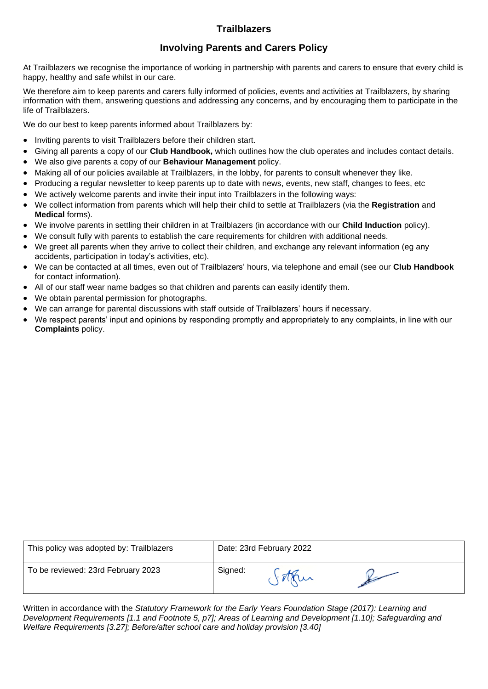# **Involving Parents and Carers Policy**

At Trailblazers we recognise the importance of working in partnership with parents and carers to ensure that every child is happy, healthy and safe whilst in our care.

We therefore aim to keep parents and carers fully informed of policies, events and activities at Trailblazers, by sharing information with them, answering questions and addressing any concerns, and by encouraging them to participate in the life of Trailblazers.

We do our best to keep parents informed about Trailblazers by:

- Inviting parents to visit Trailblazers before their children start.
- Giving all parents a copy of our **Club Handbook,** which outlines how the club operates and includes contact details.
- We also give parents a copy of our **Behaviour Management** policy.
- Making all of our policies available at Trailblazers, in the lobby, for parents to consult whenever they like.
- Producing a regular newsletter to keep parents up to date with news, events, new staff, changes to fees, etc
- We actively welcome parents and invite their input into Trailblazers in the following ways:
- We collect information from parents which will help their child to settle at Trailblazers (via the **Registration** and **Medical** forms).
- We involve parents in settling their children in at Trailblazers (in accordance with our **Child Induction** policy).
- We consult fully with parents to establish the care requirements for children with additional needs.
- We greet all parents when they arrive to collect their children, and exchange any relevant information (eg any accidents, participation in today's activities, etc).
- We can be contacted at all times, even out of Trailblazers' hours, via telephone and email (see our **Club Handbook** for contact information).
- All of our staff wear name badges so that children and parents can easily identify them.
- We obtain parental permission for photographs.
- We can arrange for parental discussions with staff outside of Trailblazers' hours if necessary.
- We respect parents' input and opinions by responding promptly and appropriately to any complaints, in line with our **Complaints** policy.

| This policy was adopted by: Trailblazers | Date: 23rd February 2022 |  |  |
|------------------------------------------|--------------------------|--|--|
| To be reviewed: 23rd February 2023       | Signed:                  |  |  |

Written in accordance with the *Statutory Framework for the Early Years Foundation Stage (2017): Learning and Development Requirements [1.1 and Footnote 5, p7]; Areas of Learning and Development [1.10]; Safeguarding and Welfare Requirements [3.27]; Before/after school care and holiday provision [3.40]*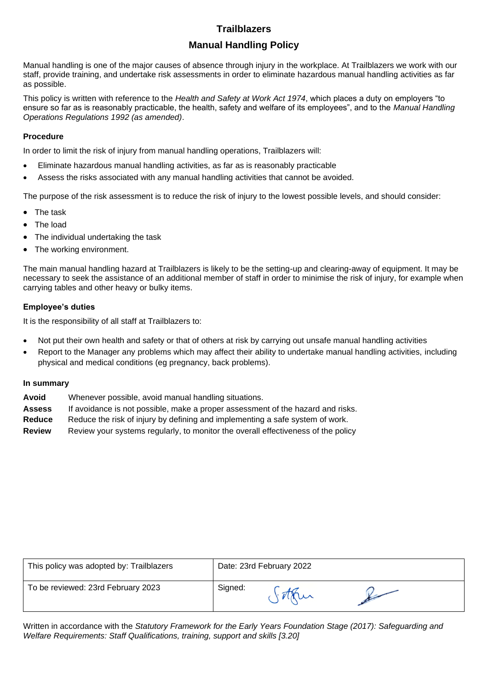# **Manual Handling Policy**

Manual handling is one of the major causes of absence through injury in the workplace. At Trailblazers we work with our staff, provide training, and undertake risk assessments in order to eliminate hazardous manual handling activities as far as possible.

This policy is written with reference to the *Health and Safety at Work Act 1974*, which places a duty on employers "to ensure so far as is reasonably practicable, the health, safety and welfare of its employees", and to the *Manual Handling Operations Regulations 1992 (as amended)*.

# **Procedure**

In order to limit the risk of injury from manual handling operations, Trailblazers will:

- Eliminate hazardous manual handling activities, as far as is reasonably practicable
- Assess the risks associated with any manual handling activities that cannot be avoided.

The purpose of the risk assessment is to reduce the risk of injury to the lowest possible levels, and should consider:

- The task
- The load
- The individual undertaking the task
- The working environment.

The main manual handling hazard at Trailblazers is likely to be the setting-up and clearing-away of equipment. It may be necessary to seek the assistance of an additional member of staff in order to minimise the risk of injury, for example when carrying tables and other heavy or bulky items.

# **Employee's duties**

It is the responsibility of all staff at Trailblazers to:

- Not put their own health and safety or that of others at risk by carrying out unsafe manual handling activities
- Report to the Manager any problems which may affect their ability to undertake manual handling activities, including physical and medical conditions (eg pregnancy, back problems).

## **In summary**

- **Avoid** Whenever possible, avoid manual handling situations.
- **Assess** If avoidance is not possible, make a proper assessment of the hazard and risks.
- **Reduce** Reduce the risk of injury by defining and implementing a safe system of work.
- **Review** Review your systems regularly, to monitor the overall effectiveness of the policy

| This policy was adopted by: Trailblazers | Date: 23rd February 2022 |  |  |
|------------------------------------------|--------------------------|--|--|
| To be reviewed: 23rd February 2023       | Signed:                  |  |  |

Written in accordance with the *Statutory Framework for the Early Years Foundation Stage (2017): Safeguarding and Welfare Requirements: Staff Qualifications, training, support and skills [3.20]*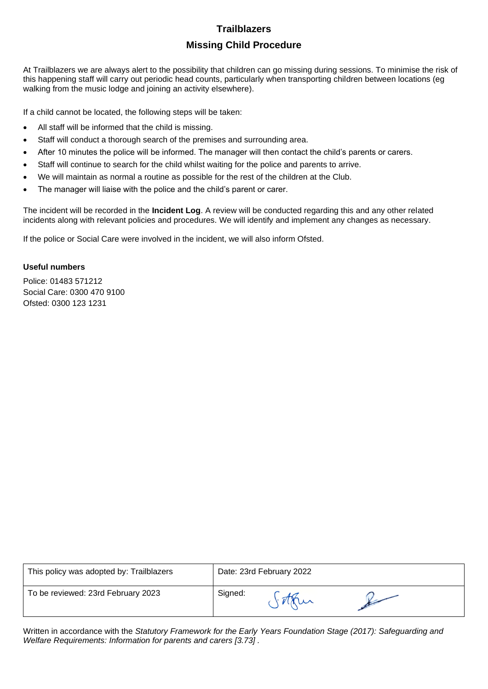# **Trailblazers Missing Child Procedure**

At Trailblazers we are always alert to the possibility that children can go missing during sessions. To minimise the risk of this happening staff will carry out periodic head counts, particularly when transporting children between locations (eg walking from the music lodge and joining an activity elsewhere).

If a child cannot be located, the following steps will be taken:

- All staff will be informed that the child is missing.
- Staff will conduct a thorough search of the premises and surrounding area.
- After 10 minutes the police will be informed. The manager will then contact the child's parents or carers.
- Staff will continue to search for the child whilst waiting for the police and parents to arrive.
- We will maintain as normal a routine as possible for the rest of the children at the Club.
- The manager will liaise with the police and the child's parent or carer.

The incident will be recorded in the **Incident Log**. A review will be conducted regarding this and any other related incidents along with relevant policies and procedures. We will identify and implement any changes as necessary.

If the police or Social Care were involved in the incident, we will also inform Ofsted.

# **Useful numbers**

Police: 01483 571212 Social Care: 0300 470 9100 Ofsted: 0300 123 1231

| This policy was adopted by: Trailblazers | Date: 23rd February 2022 |  |  |
|------------------------------------------|--------------------------|--|--|
| To be reviewed: 23rd February 2023       | Signed:                  |  |  |

Written in accordance with the *Statutory Framework for the Early Years Foundation Stage (2017): Safeguarding and Welfare Requirements: Information for parents and carers [3.73] .*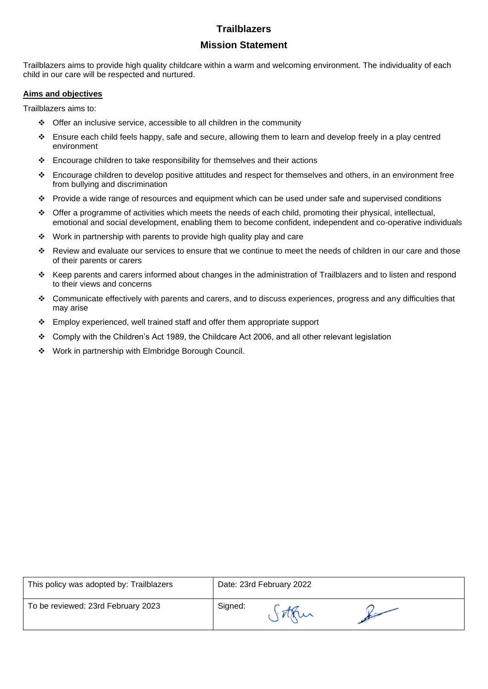# **Mission Statement**

Trailblazers aims to provide high quality childcare within a warm and welcoming environment. The individuality of each child in our care will be respected and nurtured.

# **Aims and objectives**

Trailblazers aims to:

- ❖ Offer an inclusive service, accessible to all children in the community
- ❖ Ensure each child feels happy, safe and secure, allowing them to learn and develop freely in a play centred environment
- ❖ Encourage children to take responsibility for themselves and their actions
- ❖ Encourage children to develop positive attitudes and respect for themselves and others, in an environment free from bullying and discrimination
- ❖ Provide a wide range of resources and equipment which can be used under safe and supervised conditions
- ❖ Offer a programme of activities which meets the needs of each child, promoting their physical, intellectual, emotional and social development, enabling them to become confident, independent and co-operative individuals
- ❖ Work in partnership with parents to provide high quality play and care
- ❖ Review and evaluate our services to ensure that we continue to meet the needs of children in our care and those of their parents or carers
- ❖ Keep parents and carers informed about changes in the administration of Trailblazers and to listen and respond to their views and concerns
- ❖ Communicate effectively with parents and carers, and to discuss experiences, progress and any difficulties that may arise
- ❖ Employ experienced, well trained staff and offer them appropriate support
- ❖ Comply with the Children's Act 1989, the Childcare Act 2006, and all other relevant legislation
- ❖ Work in partnership with Elmbridge Borough Council.

| This policy was adopted by: Trailblazers | Date: 23rd February 2022 |  |  |
|------------------------------------------|--------------------------|--|--|
| To be reviewed: 23rd February 2023       | Signed:                  |  |  |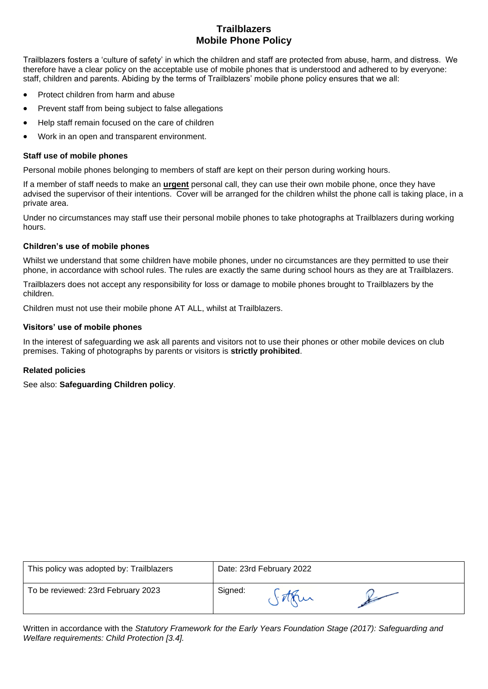# **Trailblazers Mobile Phone Policy**

Trailblazers fosters a 'culture of safety' in which the children and staff are protected from abuse, harm, and distress. We therefore have a clear policy on the acceptable use of mobile phones that is understood and adhered to by everyone: staff, children and parents. Abiding by the terms of Trailblazers' mobile phone policy ensures that we all:

- Protect children from harm and abuse
- Prevent staff from being subject to false allegations
- Help staff remain focused on the care of children
- Work in an open and transparent environment.

# **Staff use of mobile phones**

Personal mobile phones belonging to members of staff are kept on their person during working hours.

If a member of staff needs to make an **urgent** personal call, they can use their own mobile phone, once they have advised the supervisor of their intentions. Cover will be arranged for the children whilst the phone call is taking place, in a private area.

Under no circumstances may staff use their personal mobile phones to take photographs at Trailblazers during working hours.

# **Children's use of mobile phones**

Whilst we understand that some children have mobile phones, under no circumstances are they permitted to use their phone, in accordance with school rules. The rules are exactly the same during school hours as they are at Trailblazers.

Trailblazers does not accept any responsibility for loss or damage to mobile phones brought to Trailblazers by the children.

Children must not use their mobile phone AT ALL, whilst at Trailblazers.

## **Visitors' use of mobile phones**

In the interest of safeguarding we ask all parents and visitors not to use their phones or other mobile devices on club premises. Taking of photographs by parents or visitors is **strictly prohibited**.

# **Related policies**

See also: **Safeguarding Children policy**.

| This policy was adopted by: Trailblazers |         | Date: 23rd February 2022 |  |
|------------------------------------------|---------|--------------------------|--|
| To be reviewed: 23rd February 2023       | Signed: |                          |  |

Written in accordance with the *Statutory Framework for the Early Years Foundation Stage (2017): Safeguarding and Welfare requirements: Child Protection [3.4].*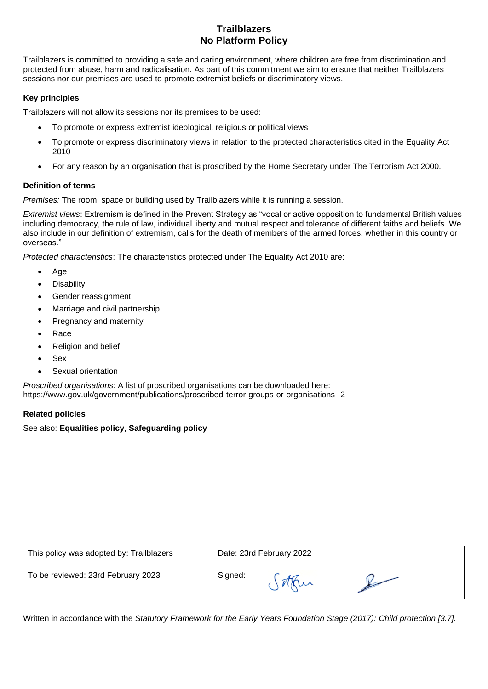# **Trailblazers No Platform Policy**

Trailblazers is committed to providing a safe and caring environment, where children are free from discrimination and protected from abuse, harm and radicalisation. As part of this commitment we aim to ensure that neither Trailblazers sessions nor our premises are used to promote extremist beliefs or discriminatory views.

# **Key principles**

Trailblazers will not allow its sessions nor its premises to be used:

- To promote or express extremist ideological, religious or political views
- To promote or express discriminatory views in relation to the protected characteristics cited in the Equality Act 2010
- For any reason by an organisation that is proscribed by the Home Secretary under The Terrorism Act 2000.

## **Definition of terms**

*Premises:* The room, space or building used by Trailblazers while it is running a session.

*Extremist views*: Extremism is defined in the Prevent Strategy as "vocal or active opposition to fundamental British values including democracy, the rule of law, individual liberty and mutual respect and tolerance of different faiths and beliefs. We also include in our definition of extremism, calls for the death of members of the armed forces, whether in this country or overseas."

*Protected characteristics*: The characteristics protected under The Equality Act 2010 are:

- Age
- **Disability**
- Gender reassignment
- Marriage and civil partnership
- Pregnancy and maternity
- Race
- Religion and belief
- Sex
- Sexual orientation

*Proscribed organisations*: A list of proscribed organisations can be downloaded here: https://www.gov.uk/government/publications/proscribed-terror-groups-or-organisations--2

## **Related policies**

# See also: **Equalities policy**, **Safeguarding policy**

| This policy was adopted by: Trailblazers |         | Date: 23rd February 2022 |  |
|------------------------------------------|---------|--------------------------|--|
| To be reviewed: 23rd February 2023       | Signed: |                          |  |

Written in accordance with the *Statutory Framework for the Early Years Foundation Stage (2017): Child protection [3.7].*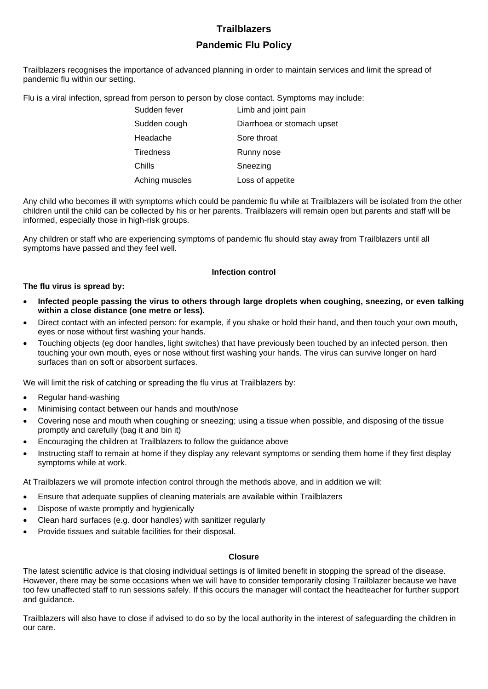# **Trailblazers Pandemic Flu Policy**

Trailblazers recognises the importance of advanced planning in order to maintain services and limit the spread of pandemic flu within our setting.

Flu is a viral infection, spread from person to person by close contact. Symptoms may include:

| Sudden fever     | Limb and joint pain        |
|------------------|----------------------------|
| Sudden cough     | Diarrhoea or stomach upset |
| Headache         | Sore throat                |
| <b>Tiredness</b> | Runny nose                 |
| Chills           | Sneezing                   |
| Aching muscles   | Loss of appetite           |

Any child who becomes ill with symptoms which could be pandemic flu while at Trailblazers will be isolated from the other children until the child can be collected by his or her parents. Trailblazers will remain open but parents and staff will be informed, especially those in high-risk groups.

Any children or staff who are experiencing symptoms of pandemic flu should stay away from Trailblazers until all symptoms have passed and they feel well.

## **Infection control**

#### **The flu virus is spread by:**

- **Infected people passing the virus to others through large droplets when coughing, sneezing, or even talking within a close distance (one metre or less).**
- Direct contact with an infected person: for example, if you shake or hold their hand, and then touch your own mouth, eyes or nose without first washing your hands.
- Touching objects (eg door handles, light switches) that have previously been touched by an infected person, then touching your own mouth, eyes or nose without first washing your hands. The virus can survive longer on hard surfaces than on soft or absorbent surfaces.

We will limit the risk of catching or spreading the flu virus at Trailblazers by:

- Regular hand-washing
- Minimising contact between our hands and mouth/nose
- Covering nose and mouth when coughing or sneezing; using a tissue when possible, and disposing of the tissue promptly and carefully (bag it and bin it)
- Encouraging the children at Trailblazers to follow the guidance above
- Instructing staff to remain at home if they display any relevant symptoms or sending them home if they first display symptoms while at work.

At Trailblazers we will promote infection control through the methods above, and in addition we will:

- Ensure that adequate supplies of cleaning materials are available within Trailblazers
- Dispose of waste promptly and hygienically
- Clean hard surfaces (e.g. door handles) with sanitizer regularly
- Provide tissues and suitable facilities for their disposal.

#### **Closure**

The latest scientific advice is that closing individual settings is of limited benefit in stopping the spread of the disease. However, there may be some occasions when we will have to consider temporarily closing Trailblazer because we have too few unaffected staff to run sessions safely. If this occurs the manager will contact the headteacher for further support and guidance.

Trailblazers will also have to close if advised to do so by the local authority in the interest of safeguarding the children in our care.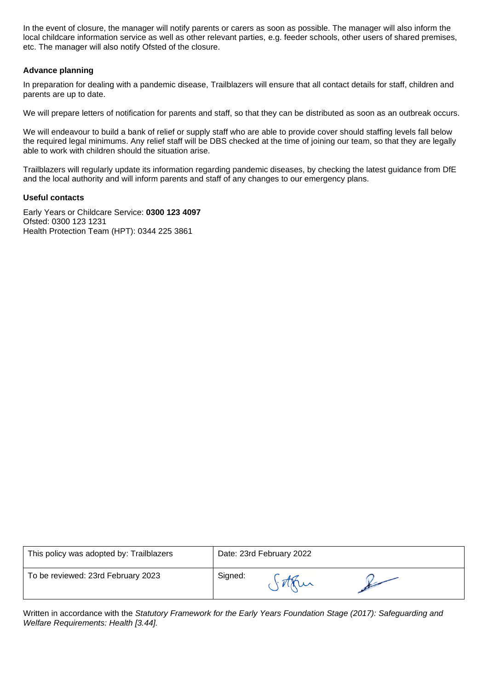In the event of closure, the manager will notify parents or carers as soon as possible. The manager will also inform the local childcare information service as well as other relevant parties, e.g. feeder schools, other users of shared premises, etc. The manager will also notify Ofsted of the closure.

## **Advance planning**

In preparation for dealing with a pandemic disease, Trailblazers will ensure that all contact details for staff, children and parents are up to date.

We will prepare letters of notification for parents and staff, so that they can be distributed as soon as an outbreak occurs.

We will endeavour to build a bank of relief or supply staff who are able to provide cover should staffing levels fall below the required legal minimums. Any relief staff will be DBS checked at the time of joining our team, so that they are legally able to work with children should the situation arise.

Trailblazers will regularly update its information regarding pandemic diseases, by checking the latest guidance from DfE and the local authority and will inform parents and staff of any changes to our emergency plans.

#### **Useful contacts**

Early Years or Childcare Service: **0300 123 4097** Ofsted: 0300 123 1231 Health Protection Team (HPT): 0344 225 3861

| This policy was adopted by: Trailblazers |         | Date: 23rd February 2022 |  |
|------------------------------------------|---------|--------------------------|--|
| To be reviewed: 23rd February 2023       | Signed: |                          |  |

Written in accordance with the *Statutory Framework for the Early Years Foundation Stage (2017): Safeguarding and Welfare Requirements: Health [3.44].*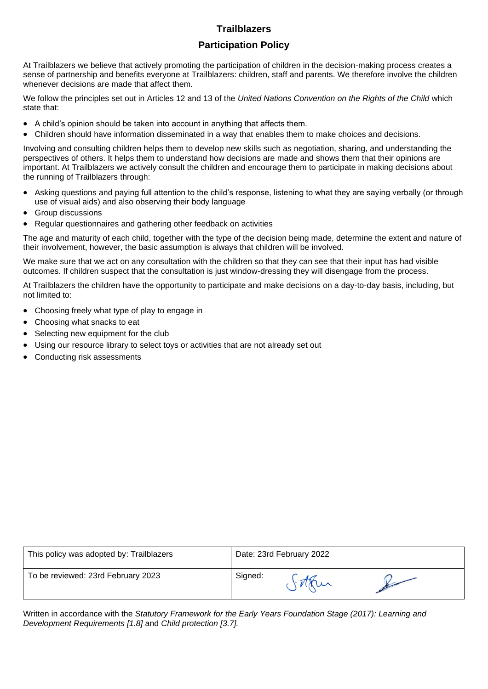# **Participation Policy**

At Trailblazers we believe that actively promoting the participation of children in the decision-making process creates a sense of partnership and benefits everyone at Trailblazers: children, staff and parents. We therefore involve the children whenever decisions are made that affect them.

We follow the principles set out in Articles 12 and 13 of the *United Nations Convention on the Rights of the Child* which state that:

- A child's opinion should be taken into account in anything that affects them.
- Children should have information disseminated in a way that enables them to make choices and decisions.

Involving and consulting children helps them to develop new skills such as negotiation, sharing, and understanding the perspectives of others. It helps them to understand how decisions are made and shows them that their opinions are important. At Trailblazers we actively consult the children and encourage them to participate in making decisions about the running of Trailblazers through:

- Asking questions and paying full attention to the child's response, listening to what they are saying verbally (or through use of visual aids) and also observing their body language
- Group discussions
- Regular questionnaires and gathering other feedback on activities

The age and maturity of each child, together with the type of the decision being made, determine the extent and nature of their involvement, however, the basic assumption is always that children will be involved.

We make sure that we act on any consultation with the children so that they can see that their input has had visible outcomes. If children suspect that the consultation is just window-dressing they will disengage from the process.

At Trailblazers the children have the opportunity to participate and make decisions on a day-to-day basis, including, but not limited to:

- Choosing freely what type of play to engage in
- Choosing what snacks to eat
- Selecting new equipment for the club
- Using our resource library to select toys or activities that are not already set out
- Conducting risk assessments

| This policy was adopted by: Trailblazers | Date: 23rd February 2022 |
|------------------------------------------|--------------------------|
| To be reviewed: 23rd February 2023       | Signed:                  |

Written in accordance with the *Statutory Framework for the Early Years Foundation Stage (2017): Learning and Development Requirements [1.8]* and *Child protection [3.7].*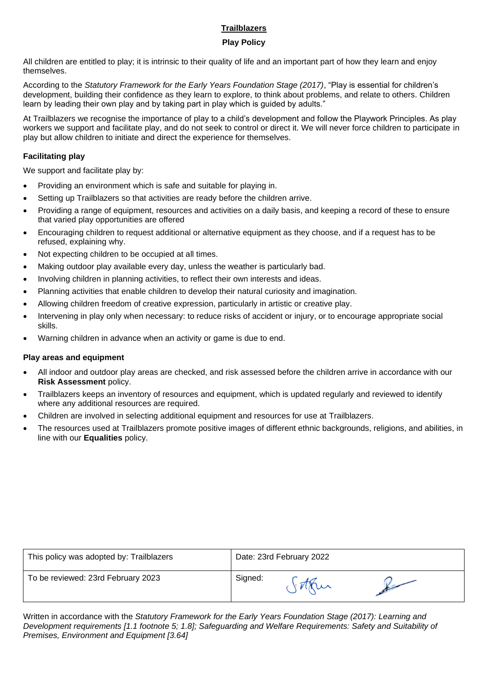# **Play Policy**

All children are entitled to play; it is intrinsic to their quality of life and an important part of how they learn and enjoy themselves.

According to the *Statutory Framework for the Early Years Foundation Stage (2017)*, "Play is essential for children's development, building their confidence as they learn to explore, to think about problems, and relate to others. Children learn by leading their own play and by taking part in play which is guided by adults."

At Trailblazers we recognise the importance of play to a child's development and follow the Playwork Principles. As play workers we support and facilitate play, and do not seek to control or direct it. We will never force children to participate in play but allow children to initiate and direct the experience for themselves.

# **Facilitating play**

We support and facilitate play by:

- Providing an environment which is safe and suitable for playing in.
- Setting up Trailblazers so that activities are ready before the children arrive.
- Providing a range of equipment, resources and activities on a daily basis, and keeping a record of these to ensure that varied play opportunities are offered
- Encouraging children to request additional or alternative equipment as they choose, and if a request has to be refused, explaining why.
- Not expecting children to be occupied at all times.
- Making outdoor play available every day, unless the weather is particularly bad.
- Involving children in planning activities, to reflect their own interests and ideas.
- Planning activities that enable children to develop their natural curiosity and imagination.
- Allowing children freedom of creative expression, particularly in artistic or creative play.
- Intervening in play only when necessary: to reduce risks of accident or injury, or to encourage appropriate social skills.
- Warning children in advance when an activity or game is due to end.

## **Play areas and equipment**

- All indoor and outdoor play areas are checked, and risk assessed before the children arrive in accordance with our **Risk Assessment** policy.
- Trailblazers keeps an inventory of resources and equipment, which is updated regularly and reviewed to identify where any additional resources are required.
- Children are involved in selecting additional equipment and resources for use at Trailblazers.
- The resources used at Trailblazers promote positive images of different ethnic backgrounds, religions, and abilities, in line with our **Equalities** policy.

| This policy was adopted by: Trailblazers | Date: 23rd February 2022 |
|------------------------------------------|--------------------------|
| To be reviewed: 23rd February 2023       | Signed:                  |

Written in accordance with the *Statutory Framework for the Early Years Foundation Stage (2017): Learning and Development requirements [1.1 footnote 5; 1.8]; Safeguarding and Welfare Requirements: Safety and Suitability of Premises, Environment and Equipment [3.64]*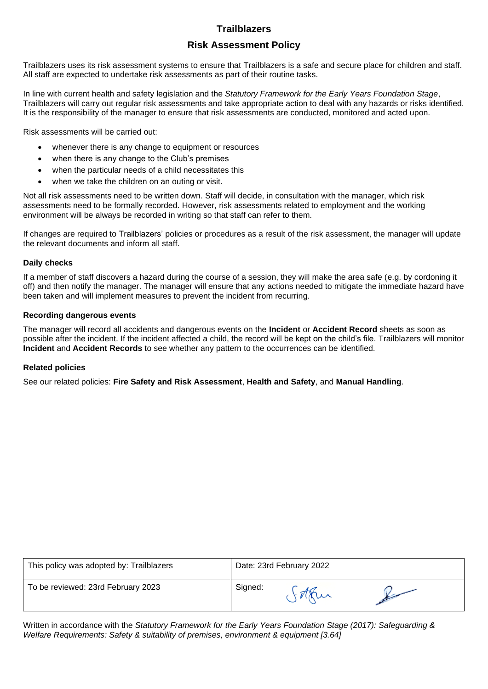# **Risk Assessment Policy**

Trailblazers uses its risk assessment systems to ensure that Trailblazers is a safe and secure place for children and staff. All staff are expected to undertake risk assessments as part of their routine tasks.

In line with current health and safety legislation and the *Statutory Framework for the Early Years Foundation Stage*, Trailblazers will carry out regular risk assessments and take appropriate action to deal with any hazards or risks identified. It is the responsibility of the manager to ensure that risk assessments are conducted, monitored and acted upon.

Risk assessments will be carried out:

- whenever there is any change to equipment or resources
- when there is any change to the Club's premises
- when the particular needs of a child necessitates this
- when we take the children on an outing or visit.

Not all risk assessments need to be written down. Staff will decide, in consultation with the manager, which risk assessments need to be formally recorded. However, risk assessments related to employment and the working environment will be always be recorded in writing so that staff can refer to them.

If changes are required to Trailblazers' policies or procedures as a result of the risk assessment, the manager will update the relevant documents and inform all staff.

#### **Daily checks**

If a member of staff discovers a hazard during the course of a session, they will make the area safe (e.g. by cordoning it off) and then notify the manager. The manager will ensure that any actions needed to mitigate the immediate hazard have been taken and will implement measures to prevent the incident from recurring.

#### **Recording dangerous events**

The manager will record all accidents and dangerous events on the **Incident** or **Accident Record** sheets as soon as possible after the incident. If the incident affected a child, the record will be kept on the child's file. Trailblazers will monitor **Incident** and **Accident Records** to see whether any pattern to the occurrences can be identified.

## **Related policies**

See our related policies: **Fire Safety and Risk Assessment**, **Health and Safety**, and **Manual Handling**.

| This policy was adopted by: Trailblazers | Date: 23rd February 2022 |
|------------------------------------------|--------------------------|
| To be reviewed: 23rd February 2023       | Signed:                  |

Written in accordance with the *Statutory Framework for the Early Years Foundation Stage (2017): Safeguarding & Welfare Requirements: Safety & suitability of premises, environment & equipment [3.64]*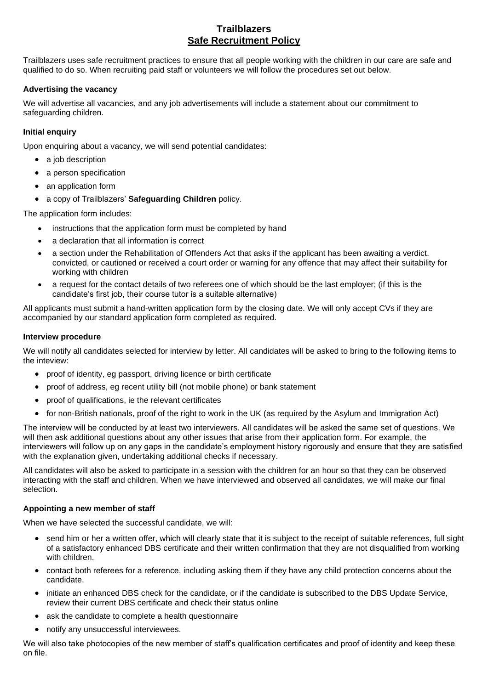# **Trailblazers Safe Recruitment Policy**

Trailblazers uses safe recruitment practices to ensure that all people working with the children in our care are safe and qualified to do so. When recruiting paid staff or volunteers we will follow the procedures set out below.

# **Advertising the vacancy**

We will advertise all vacancies, and any job advertisements will include a statement about our commitment to safeguarding children.

# **Initial enquiry**

Upon enquiring about a vacancy, we will send potential candidates:

- a job description
- a person specification
- an application form
- a copy of Trailblazers' **Safeguarding Children** policy.

The application form includes:

- instructions that the application form must be completed by hand
- a declaration that all information is correct
- a section under the Rehabilitation of Offenders Act that asks if the applicant has been awaiting a verdict, convicted, or cautioned or received a court order or warning for any offence that may affect their suitability for working with children
- a request for the contact details of two referees one of which should be the last employer; (if this is the candidate's first job, their course tutor is a suitable alternative)

All applicants must submit a hand-written application form by the closing date. We will only accept CVs if they are accompanied by our standard application form completed as required.

## **Interview procedure**

We will notify all candidates selected for interview by letter. All candidates will be asked to bring to the following items to the inteview:

- proof of identity, eg passport, driving licence or birth certificate
- proof of address, eg recent utility bill (not mobile phone) or bank statement
- proof of qualifications, ie the relevant certificates
- for non-British nationals, proof of the right to work in the UK (as required by the Asylum and Immigration Act)

The interview will be conducted by at least two interviewers. All candidates will be asked the same set of questions. We will then ask additional questions about any other issues that arise from their application form. For example, the interviewers will follow up on any gaps in the candidate's employment history rigorously and ensure that they are satisfied with the explanation given, undertaking additional checks if necessary.

All candidates will also be asked to participate in a session with the children for an hour so that they can be observed interacting with the staff and children. When we have interviewed and observed all candidates, we will make our final selection.

## **Appointing a new member of staff**

When we have selected the successful candidate, we will:

- send him or her a written offer, which will clearly state that it is subject to the receipt of suitable references, full sight of a satisfactory enhanced DBS certificate and their written confirmation that they are not disqualified from working with children.
- contact both referees for a reference, including asking them if they have any child protection concerns about the candidate.
- initiate an enhanced DBS check for the candidate, or if the candidate is subscribed to the DBS Update Service, review their current DBS certificate and check their status online
- ask the candidate to complete a health questionnaire
- notify any unsuccessful interviewees.

We will also take photocopies of the new member of staff's qualification certificates and proof of identity and keep these on file.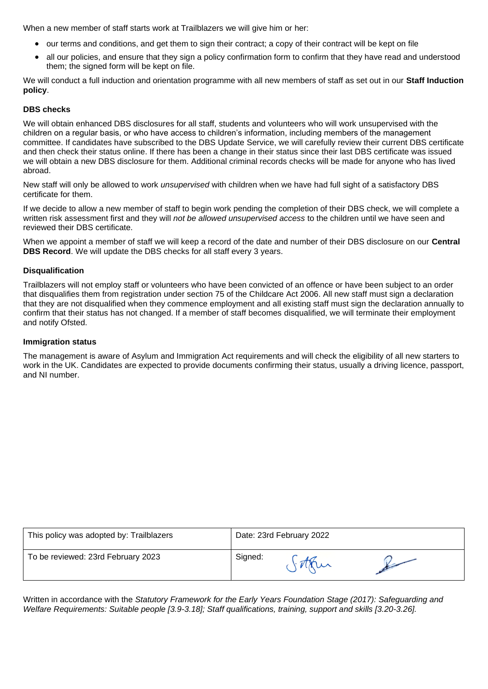When a new member of staff starts work at Trailblazers we will give him or her:

- our terms and conditions, and get them to sign their contract; a copy of their contract will be kept on file
- all our policies, and ensure that they sign a policy confirmation form to confirm that they have read and understood them; the signed form will be kept on file.

We will conduct a full induction and orientation programme with all new members of staff as set out in our **Staff Induction policy**.

#### **DBS checks**

We will obtain enhanced DBS disclosures for all staff, students and volunteers who will work unsupervised with the children on a regular basis, or who have access to children's information, including members of the management committee. If candidates have subscribed to the DBS Update Service, we will carefully review their current DBS certificate and then check their status online. If there has been a change in their status since their last DBS certificate was issued we will obtain a new DBS disclosure for them. Additional criminal records checks will be made for anyone who has lived abroad.

New staff will only be allowed to work *unsupervised* with children when we have had full sight of a satisfactory DBS certificate for them.

If we decide to allow a new member of staff to begin work pending the completion of their DBS check, we will complete a written risk assessment first and they will *not be allowed unsupervised access* to the children until we have seen and reviewed their DBS certificate.

When we appoint a member of staff we will keep a record of the date and number of their DBS disclosure on our **Central DBS Record**. We will update the DBS checks for all staff every 3 years.

#### **Disqualification**

Trailblazers will not employ staff or volunteers who have been convicted of an offence or have been subject to an order that disqualifies them from registration under section 75 of the Childcare Act 2006. All new staff must sign a declaration that they are not disqualified when they commence employment and all existing staff must sign the declaration annually to confirm that their status has not changed. If a member of staff becomes disqualified, we will terminate their employment and notify Ofsted.

#### **Immigration status**

The management is aware of Asylum and Immigration Act requirements and will check the eligibility of all new starters to work in the UK. Candidates are expected to provide documents confirming their status, usually a driving licence, passport, and NI number.

| This policy was adopted by: Trailblazers | Date: 23rd February 2022 |
|------------------------------------------|--------------------------|
| To be reviewed: 23rd February 2023       | Signed:                  |

Written in accordance with the *Statutory Framework for the Early Years Foundation Stage (2017): Safeguarding and Welfare Requirements: Suitable people [3.9-3.18]; Staff qualifications, training, support and skills [3.20-3.26].*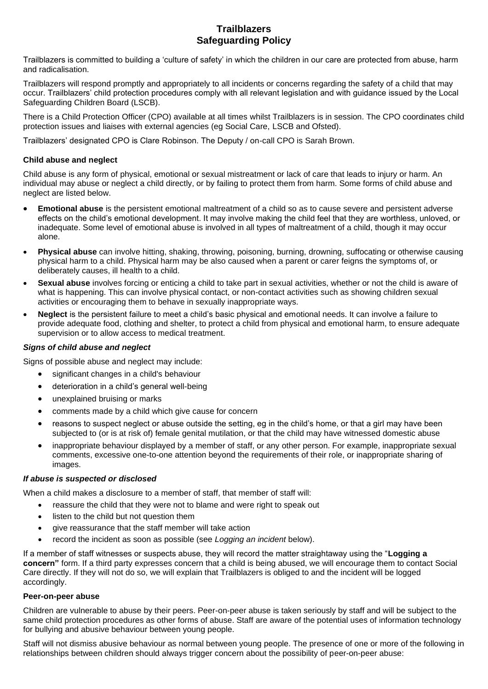# **Trailblazers Safeguarding Policy**

Trailblazers is committed to building a 'culture of safety' in which the children in our care are protected from abuse, harm and radicalisation.

Trailblazers will respond promptly and appropriately to all incidents or concerns regarding the safety of a child that may occur. Trailblazers' child protection procedures comply with all relevant legislation and with guidance issued by the Local Safeguarding Children Board (LSCB).

There is a Child Protection Officer (CPO) available at all times whilst Trailblazers is in session. The CPO coordinates child protection issues and liaises with external agencies (eg Social Care, LSCB and Ofsted).

Trailblazers' designated CPO is Clare Robinson. The Deputy / on-call CPO is Sarah Brown.

# **Child abuse and neglect**

Child abuse is any form of physical, emotional or sexual mistreatment or lack of care that leads to injury or harm. An individual may abuse or neglect a child directly, or by failing to protect them from harm. Some forms of child abuse and neglect are listed below.

- **Emotional abuse** is the persistent emotional maltreatment of a child so as to cause severe and persistent adverse effects on the child's emotional development. It may involve making the child feel that they are worthless, unloved, or inadequate. Some level of emotional abuse is involved in all types of maltreatment of a child, though it may occur alone.
- **Physical abuse** can involve hitting, shaking, throwing, poisoning, burning, drowning, suffocating or otherwise causing physical harm to a child. Physical harm may be also caused when a parent or carer feigns the symptoms of, or deliberately causes, ill health to a child.
- **Sexual abuse** involves forcing or enticing a child to take part in sexual activities, whether or not the child is aware of what is happening. This can involve physical contact, or non-contact activities such as showing children sexual activities or encouraging them to behave in sexually inappropriate ways.
- **Neglect** is the persistent failure to meet a child's basic physical and emotional needs. It can involve a failure to provide adequate food, clothing and shelter, to protect a child from physical and emotional harm, to ensure adequate supervision or to allow access to medical treatment.

# *Signs of child abuse and neglect*

Signs of possible abuse and neglect may include:

- significant changes in a child's behaviour
- deterioration in a child's general well-being
- unexplained bruising or marks
- comments made by a child which give cause for concern
- reasons to suspect neglect or abuse outside the setting, eg in the child's home, or that a girl may have been subjected to (or is at risk of) female genital mutilation, or that the child may have witnessed domestic abuse
- inappropriate behaviour displayed by a member of staff, or any other person. For example, inappropriate sexual comments, excessive one-to-one attention beyond the requirements of their role, or inappropriate sharing of images.

## *If abuse is suspected or disclosed*

When a child makes a disclosure to a member of staff, that member of staff will:

- reassure the child that they were not to blame and were right to speak out
- listen to the child but not question them
- give reassurance that the staff member will take action
- record the incident as soon as possible (see *Logging an incident* below).

If a member of staff witnesses or suspects abuse, they will record the matter straightaway using the "**Logging a concern"** form. If a third party expresses concern that a child is being abused, we will encourage them to contact Social Care directly. If they will not do so, we will explain that Trailblazers is obliged to and the incident will be logged accordingly.

## **Peer-on-peer abuse**

Children are vulnerable to abuse by their peers. Peer-on-peer abuse is taken seriously by staff and will be subject to the same child protection procedures as other forms of abuse. Staff are aware of the potential uses of information technology for bullying and abusive behaviour between young people.

Staff will not dismiss abusive behaviour as normal between young people. The presence of one or more of the following in relationships between children should always trigger concern about the possibility of peer-on-peer abuse: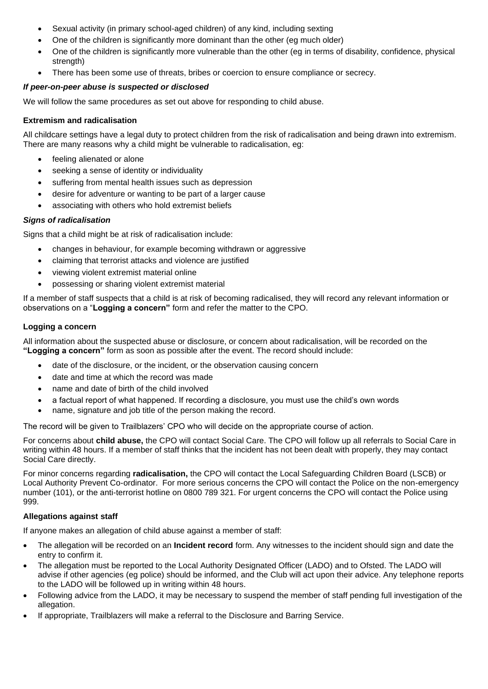- Sexual activity (in primary school-aged children) of any kind, including sexting
- One of the children is significantly more dominant than the other (eg much older)
- One of the children is significantly more vulnerable than the other (eg in terms of disability, confidence, physical strength)
- There has been some use of threats, bribes or coercion to ensure compliance or secrecy.

# *If peer-on-peer abuse is suspected or disclosed*

We will follow the same procedures as set out above for responding to child abuse.

# **Extremism and radicalisation**

All childcare settings have a legal duty to protect children from the risk of radicalisation and being drawn into extremism. There are many reasons why a child might be vulnerable to radicalisation, eg:

- feeling alienated or alone
- seeking a sense of identity or individuality
- suffering from mental health issues such as depression
- desire for adventure or wanting to be part of a larger cause
- associating with others who hold extremist beliefs

# *Signs of radicalisation*

Signs that a child might be at risk of radicalisation include:

- changes in behaviour, for example becoming withdrawn or aggressive
- claiming that terrorist attacks and violence are justified
- viewing violent extremist material online
- possessing or sharing violent extremist material

If a member of staff suspects that a child is at risk of becoming radicalised, they will record any relevant information or observations on a "**Logging a concern"** form and refer the matter to the CPO.

# **Logging a concern**

All information about the suspected abuse or disclosure, or concern about radicalisation, will be recorded on the **"Logging a concern"** form as soon as possible after the event. The record should include:

- date of the disclosure, or the incident, or the observation causing concern
- date and time at which the record was made
- name and date of birth of the child involved
- a factual report of what happened. If recording a disclosure, you must use the child's own words
- name, signature and job title of the person making the record.

The record will be given to Trailblazers' CPO who will decide on the appropriate course of action.

For concerns about **child abuse,** the CPO will contact Social Care. The CPO will follow up all referrals to Social Care in writing within 48 hours. If a member of staff thinks that the incident has not been dealt with properly, they may contact Social Care directly.

For minor concerns regarding **radicalisation,** the CPO will contact the Local Safeguarding Children Board (LSCB) or Local Authority Prevent Co-ordinator. For more serious concerns the CPO will contact the Police on the non-emergency number (101), or the anti-terrorist hotline on 0800 789 321. For urgent concerns the CPO will contact the Police using 999.

## **Allegations against staff**

If anyone makes an allegation of child abuse against a member of staff:

- The allegation will be recorded on an **Incident record** form. Any witnesses to the incident should sign and date the entry to confirm it.
- The allegation must be reported to the Local Authority Designated Officer (LADO) and to Ofsted. The LADO will advise if other agencies (eg police) should be informed, and the Club will act upon their advice. Any telephone reports to the LADO will be followed up in writing within 48 hours.
- Following advice from the LADO, it may be necessary to suspend the member of staff pending full investigation of the allegation.
- If appropriate, Trailblazers will make a referral to the Disclosure and Barring Service.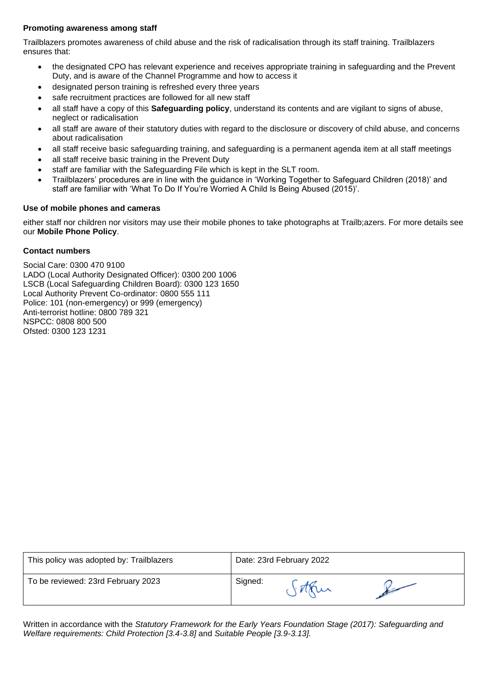# **Promoting awareness among staff**

Trailblazers promotes awareness of child abuse and the risk of radicalisation through its staff training. Trailblazers ensures that:

- the designated CPO has relevant experience and receives appropriate training in safeguarding and the Prevent Duty, and is aware of the Channel Programme and how to access it
- designated person training is refreshed every three years
- safe recruitment practices are followed for all new staff
- all staff have a copy of this **Safeguarding policy**, understand its contents and are vigilant to signs of abuse, neglect or radicalisation
- all staff are aware of their statutory duties with regard to the disclosure or discovery of child abuse, and concerns about radicalisation
- all staff receive basic safeguarding training, and safeguarding is a permanent agenda item at all staff meetings
- all staff receive basic training in the Prevent Duty
- staff are familiar with the Safeguarding File which is kept in the SLT room.
- Trailblazers' procedures are in line with the guidance in 'Working Together to Safeguard Children (2018)' and staff are familiar with 'What To Do If You're Worried A Child Is Being Abused (2015)'.

## **Use of mobile phones and cameras**

either staff nor children nor visitors may use their mobile phones to take photographs at Trailb;azers. For more details see our **Mobile Phone Policy**.

# **Contact numbers**

Social Care: 0300 470 9100 LADO (Local Authority Designated Officer): 0300 200 1006 LSCB (Local Safeguarding Children Board): 0300 123 1650 Local Authority Prevent Co-ordinator: 0800 555 111 Police: 101 (non-emergency) or 999 (emergency) Anti-terrorist hotline: 0800 789 321 NSPCC: 0808 800 500 Ofsted: 0300 123 1231

| This policy was adopted by: Trailblazers | Date: 23rd February 2022 |
|------------------------------------------|--------------------------|
| To be reviewed: 23rd February 2023       | Signed:                  |

Written in accordance with the *Statutory Framework for the Early Years Foundation Stage (2017): Safeguarding and Welfare requirements: Child Protection [3.4-3.8]* and *Suitable People [3.9-3.13].*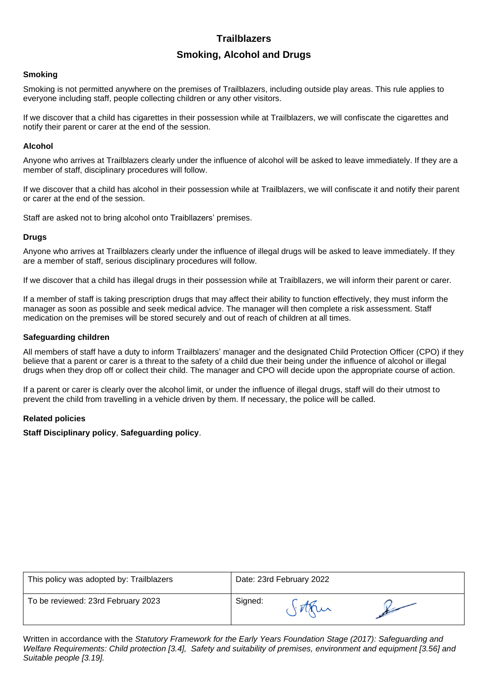# **Smoking, Alcohol and Drugs**

#### **Smoking**

Smoking is not permitted anywhere on the premises of Trailblazers, including outside play areas. This rule applies to everyone including staff, people collecting children or any other visitors.

If we discover that a child has cigarettes in their possession while at Trailblazers, we will confiscate the cigarettes and notify their parent or carer at the end of the session.

#### **Alcohol**

Anyone who arrives at Trailblazers clearly under the influence of alcohol will be asked to leave immediately. If they are a member of staff, disciplinary procedures will follow.

If we discover that a child has alcohol in their possession while at Trailblazers, we will confiscate it and notify their parent or carer at the end of the session.

Staff are asked not to bring alcohol onto Traibllazers' premises.

#### **Drugs**

Anyone who arrives at Trailblazers clearly under the influence of illegal drugs will be asked to leave immediately. If they are a member of staff, serious disciplinary procedures will follow.

If we discover that a child has illegal drugs in their possession while at Traibllazers, we will inform their parent or carer.

If a member of staff is taking prescription drugs that may affect their ability to function effectively, they must inform the manager as soon as possible and seek medical advice. The manager will then complete a risk assessment. Staff medication on the premises will be stored securely and out of reach of children at all times.

## **Safeguarding children**

All members of staff have a duty to inform Trailblazers' manager and the designated Child Protection Officer (CPO) if they believe that a parent or carer is a threat to the safety of a child due their being under the influence of alcohol or illegal drugs when they drop off or collect their child. The manager and CPO will decide upon the appropriate course of action.

If a parent or carer is clearly over the alcohol limit, or under the influence of illegal drugs, staff will do their utmost to prevent the child from travelling in a vehicle driven by them. If necessary, the police will be called.

## **Related policies**

**Staff Disciplinary policy**, **Safeguarding policy**.

| This policy was adopted by: Trailblazers | Date: 23rd February 2022 |
|------------------------------------------|--------------------------|
| To be reviewed: 23rd February 2023       | Signed:                  |

Written in accordance with the *Statutory Framework for the Early Years Foundation Stage (2017): Safeguarding and Welfare Requirements: Child protection [3.4], Safety and suitability of premises, environment and equipment [3.56] and Suitable people [3.19].*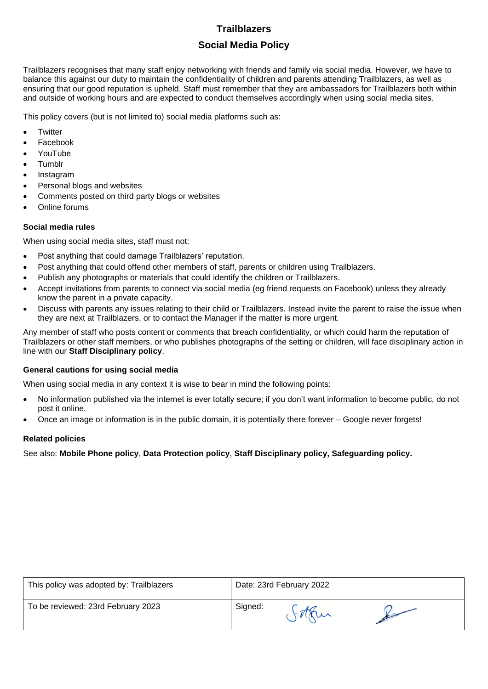# **Social Media Policy**

Trailblazers recognises that many staff enjoy networking with friends and family via social media. However, we have to balance this against our duty to maintain the confidentiality of children and parents attending Trailblazers, as well as ensuring that our good reputation is upheld. Staff must remember that they are ambassadors for Trailblazers both within and outside of working hours and are expected to conduct themselves accordingly when using social media sites.

This policy covers (but is not limited to) social media platforms such as:

- **Twitter**
- **Facebook**
- YouTube
- **Tumblr**
- Instagram
- Personal blogs and websites
- Comments posted on third party blogs or websites
- Online forums

# **Social media rules**

When using social media sites, staff must not:

- Post anything that could damage Trailblazers' reputation.
- Post anything that could offend other members of staff, parents or children using Trailblazers.
- Publish any photographs or materials that could identify the children or Trailblazers.
- Accept invitations from parents to connect via social media (eg friend requests on Facebook) unless they already know the parent in a private capacity.
- Discuss with parents any issues relating to their child or Trailblazers. Instead invite the parent to raise the issue when they are next at Trailblazers, or to contact the Manager if the matter is more urgent.

Any member of staff who posts content or comments that breach confidentiality, or which could harm the reputation of Trailblazers or other staff members, or who publishes photographs of the setting or children, will face disciplinary action in line with our **Staff Disciplinary policy**.

## **General cautions for using social media**

When using social media in any context it is wise to bear in mind the following points:

- No information published via the internet is ever totally secure; if you don't want information to become public, do not post it online.
- Once an image or information is in the public domain, it is potentially there forever Google never forgets!

## **Related policies**

See also: **Mobile Phone policy**, **Data Protection policy**, **Staff Disciplinary policy, Safeguarding policy.**

| This policy was adopted by: Trailblazers | Date: 23rd February 2022 |
|------------------------------------------|--------------------------|
| To be reviewed: 23rd February 2023       | Signed:                  |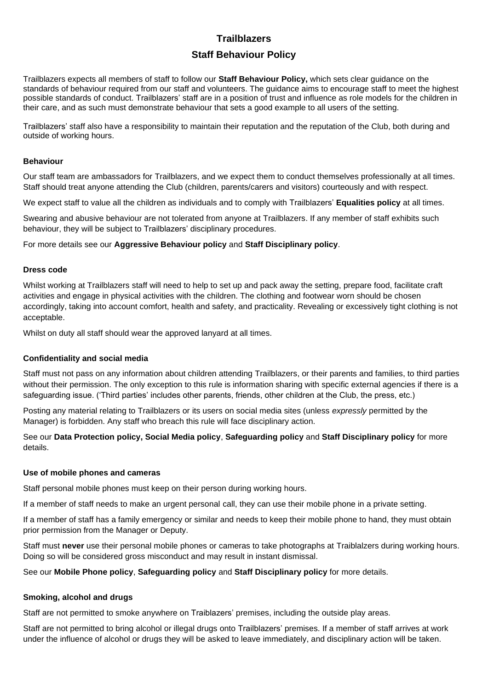# **Staff Behaviour Policy**

Trailblazers expects all members of staff to follow our **Staff Behaviour Policy,** which sets clear guidance on the standards of behaviour required from our staff and volunteers. The guidance aims to encourage staff to meet the highest possible standards of conduct. Trailblazers' staff are in a position of trust and influence as role models for the children in their care, and as such must demonstrate behaviour that sets a good example to all users of the setting.

Trailblazers' staff also have a responsibility to maintain their reputation and the reputation of the Club, both during and outside of working hours.

#### **Behaviour**

Our staff team are ambassadors for Trailblazers, and we expect them to conduct themselves professionally at all times. Staff should treat anyone attending the Club (children, parents/carers and visitors) courteously and with respect.

We expect staff to value all the children as individuals and to comply with Trailblazers' **Equalities policy** at all times.

Swearing and abusive behaviour are not tolerated from anyone at Trailblazers. If any member of staff exhibits such behaviour, they will be subject to Trailblazers' disciplinary procedures.

For more details see our **Aggressive Behaviour policy** and **Staff Disciplinary policy**.

#### **Dress code**

Whilst working at Trailblazers staff will need to help to set up and pack away the setting, prepare food, facilitate craft activities and engage in physical activities with the children. The clothing and footwear worn should be chosen accordingly, taking into account comfort, health and safety, and practicality. Revealing or excessively tight clothing is not acceptable.

Whilst on duty all staff should wear the approved lanyard at all times.

#### **Confidentiality and social media**

Staff must not pass on any information about children attending Trailblazers, or their parents and families, to third parties without their permission. The only exception to this rule is information sharing with specific external agencies if there is a safeguarding issue. ('Third parties' includes other parents, friends, other children at the Club, the press, etc.)

Posting any material relating to Trailblazers or its users on social media sites (unless *expressly* permitted by the Manager) is forbidden. Any staff who breach this rule will face disciplinary action.

See our **Data Protection policy, Social Media policy**, **Safeguarding policy** and **Staff Disciplinary policy** for more details.

#### **Use of mobile phones and cameras**

Staff personal mobile phones must keep on their person during working hours.

If a member of staff needs to make an urgent personal call, they can use their mobile phone in a private setting.

If a member of staff has a family emergency or similar and needs to keep their mobile phone to hand, they must obtain prior permission from the Manager or Deputy.

Staff must **never** use their personal mobile phones or cameras to take photographs at Traiblalzers during working hours. Doing so will be considered gross misconduct and may result in instant dismissal.

See our **Mobile Phone policy**, **Safeguarding policy** and **Staff Disciplinary policy** for more details.

#### **Smoking, alcohol and drugs**

Staff are not permitted to smoke anywhere on Traiblazers' premises, including the outside play areas.

Staff are not permitted to bring alcohol or illegal drugs onto Trailblazers' premises. If a member of staff arrives at work under the influence of alcohol or drugs they will be asked to leave immediately, and disciplinary action will be taken.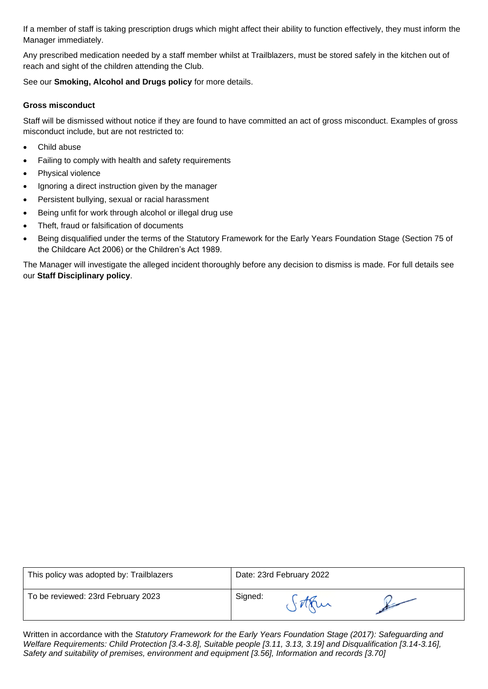If a member of staff is taking prescription drugs which might affect their ability to function effectively, they must inform the Manager immediately.

Any prescribed medication needed by a staff member whilst at Trailblazers, must be stored safely in the kitchen out of reach and sight of the children attending the Club.

See our **Smoking, Alcohol and Drugs policy** for more details.

# **Gross misconduct**

Staff will be dismissed without notice if they are found to have committed an act of gross misconduct. Examples of gross misconduct include, but are not restricted to:

- Child abuse
- Failing to comply with health and safety requirements
- Physical violence
- Ignoring a direct instruction given by the manager
- Persistent bullying, sexual or racial harassment
- Being unfit for work through alcohol or illegal drug use
- Theft, fraud or falsification of documents
- Being disqualified under the terms of the Statutory Framework for the Early Years Foundation Stage (Section 75 of the Childcare Act 2006) or the Children's Act 1989.

The Manager will investigate the alleged incident thoroughly before any decision to dismiss is made. For full details see our **Staff Disciplinary policy**.

| This policy was adopted by: Trailblazers | Date: 23rd February 2022 |
|------------------------------------------|--------------------------|
| To be reviewed: 23rd February 2023       | Signed:                  |

Written in accordance with the *Statutory Framework for the Early Years Foundation Stage (2017): Safeguarding and Welfare Requirements: Child Protection [3.4-3.8], Suitable people [3.11, 3.13, 3.19] and Disqualification [3.14-3.16], Safety and suitability of premises, environment and equipment [3.56], Information and records [3.70]*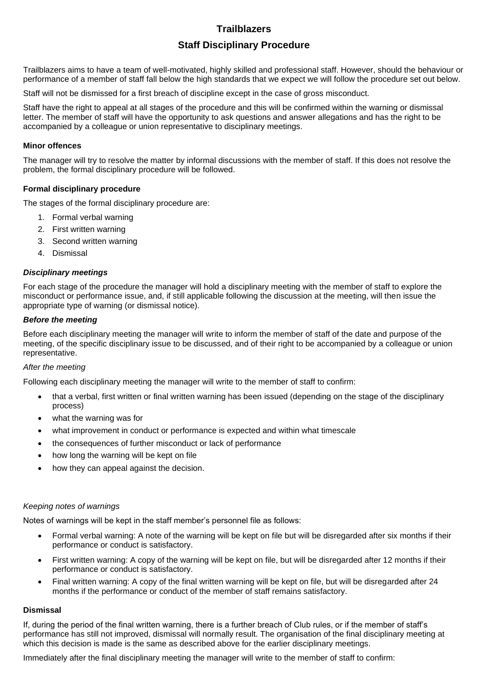# **Staff Disciplinary Procedure**

Trailblazers aims to have a team of well-motivated, highly skilled and professional staff. However, should the behaviour or performance of a member of staff fall below the high standards that we expect we will follow the procedure set out below.

Staff will not be dismissed for a first breach of discipline except in the case of gross misconduct.

Staff have the right to appeal at all stages of the procedure and this will be confirmed within the warning or dismissal letter. The member of staff will have the opportunity to ask questions and answer allegations and has the right to be accompanied by a colleague or union representative to disciplinary meetings.

#### **Minor offences**

The manager will try to resolve the matter by informal discussions with the member of staff. If this does not resolve the problem, the formal disciplinary procedure will be followed.

## **Formal disciplinary procedure**

The stages of the formal disciplinary procedure are:

- 1. Formal verbal warning
- 2. First written warning
- 3. Second written warning
- 4. Dismissal

# *Disciplinary meetings*

For each stage of the procedure the manager will hold a disciplinary meeting with the member of staff to explore the misconduct or performance issue, and, if still applicable following the discussion at the meeting, will then issue the appropriate type of warning (or dismissal notice).

#### *Before the meeting*

Before each disciplinary meeting the manager will write to inform the member of staff of the date and purpose of the meeting, of the specific disciplinary issue to be discussed, and of their right to be accompanied by a colleague or union representative.

## *After the meeting*

Following each disciplinary meeting the manager will write to the member of staff to confirm:

- that a verbal, first written or final written warning has been issued (depending on the stage of the disciplinary process)
- what the warning was for
- what improvement in conduct or performance is expected and within what timescale
- the consequences of further misconduct or lack of performance
- how long the warning will be kept on file
- how they can appeal against the decision.

#### *Keeping notes of warnings*

Notes of warnings will be kept in the staff member's personnel file as follows:

- Formal verbal warning: A note of the warning will be kept on file but will be disregarded after six months if their performance or conduct is satisfactory.
- First written warning: A copy of the warning will be kept on file, but will be disregarded after 12 months if their performance or conduct is satisfactory.
- Final written warning: A copy of the final written warning will be kept on file, but will be disregarded after 24 months if the performance or conduct of the member of staff remains satisfactory.

#### **Dismissal**

If, during the period of the final written warning, there is a further breach of Club rules, or if the member of staff's performance has still not improved, dismissal will normally result. The organisation of the final disciplinary meeting at which this decision is made is the same as described above for the earlier disciplinary meetings.

Immediately after the final disciplinary meeting the manager will write to the member of staff to confirm: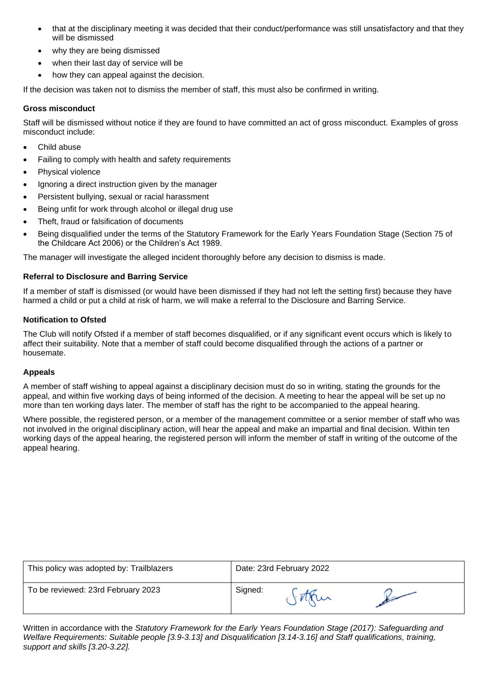- that at the disciplinary meeting it was decided that their conduct/performance was still unsatisfactory and that they will be dismissed
- why they are being dismissed
- when their last day of service will be
- how they can appeal against the decision.

If the decision was taken not to dismiss the member of staff, this must also be confirmed in writing.

## **Gross misconduct**

Staff will be dismissed without notice if they are found to have committed an act of gross misconduct. Examples of gross misconduct include:

- Child abuse
- Failing to comply with health and safety requirements
- Physical violence
- Ignoring a direct instruction given by the manager
- Persistent bullying, sexual or racial harassment
- Being unfit for work through alcohol or illegal drug use
- Theft, fraud or falsification of documents
- Being disqualified under the terms of the Statutory Framework for the Early Years Foundation Stage (Section 75 of the Childcare Act 2006) or the Children's Act 1989.

The manager will investigate the alleged incident thoroughly before any decision to dismiss is made.

# **Referral to Disclosure and Barring Service**

If a member of staff is dismissed (or would have been dismissed if they had not left the setting first) because they have harmed a child or put a child at risk of harm, we will make a referral to the Disclosure and Barring Service.

# **Notification to Ofsted**

The Club will notify Ofsted if a member of staff becomes disqualified, or if any significant event occurs which is likely to affect their suitability. Note that a member of staff could become disqualified through the actions of a partner or housemate.

# **Appeals**

A member of staff wishing to appeal against a disciplinary decision must do so in writing, stating the grounds for the appeal, and within five working days of being informed of the decision. A meeting to hear the appeal will be set up no more than ten working days later. The member of staff has the right to be accompanied to the appeal hearing.

Where possible, the registered person, or a member of the management committee or a senior member of staff who was not involved in the original disciplinary action, will hear the appeal and make an impartial and final decision. Within ten working days of the appeal hearing, the registered person will inform the member of staff in writing of the outcome of the appeal hearing.

| This policy was adopted by: Trailblazers | Date: 23rd February 2022 |
|------------------------------------------|--------------------------|
| To be reviewed: 23rd February 2023       | Signed:                  |

Written in accordance with the *Statutory Framework for the Early Years Foundation Stage (2017): Safeguarding and Welfare Requirements: Suitable people [3.9-3.13] and Disqualification [3.14-3.16] and Staff qualifications, training, support and skills [3.20-3.22].*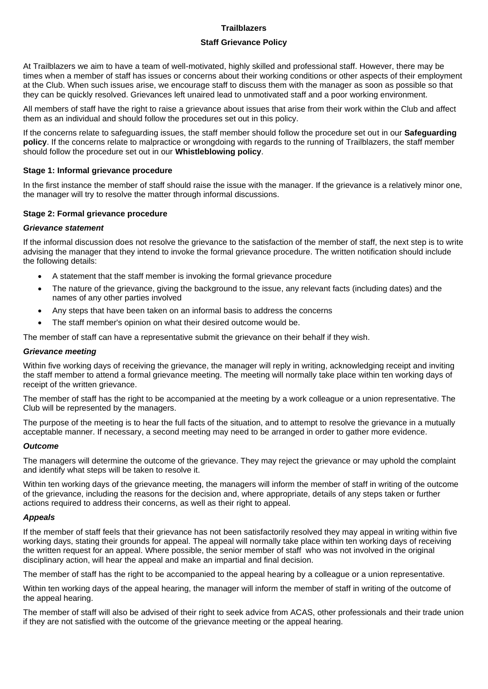## **Staff Grievance Policy**

At Trailblazers we aim to have a team of well-motivated, highly skilled and professional staff. However, there may be times when a member of staff has issues or concerns about their working conditions or other aspects of their employment at the Club. When such issues arise, we encourage staff to discuss them with the manager as soon as possible so that they can be quickly resolved. Grievances left unaired lead to unmotivated staff and a poor working environment.

All members of staff have the right to raise a grievance about issues that arise from their work within the Club and affect them as an individual and should follow the procedures set out in this policy.

If the concerns relate to safeguarding issues, the staff member should follow the procedure set out in our **Safeguarding policy**. If the concerns relate to malpractice or wrongdoing with regards to the running of Trailblazers, the staff member should follow the procedure set out in our **Whistleblowing policy**.

#### **Stage 1: Informal grievance procedure**

In the first instance the member of staff should raise the issue with the manager. If the grievance is a relatively minor one, the manager will try to resolve the matter through informal discussions.

#### **Stage 2: Formal grievance procedure**

#### *Grievance statement*

If the informal discussion does not resolve the grievance to the satisfaction of the member of staff, the next step is to write advising the manager that they intend to invoke the formal grievance procedure. The written notification should include the following details:

- A statement that the staff member is invoking the formal grievance procedure
- The nature of the grievance, giving the background to the issue, any relevant facts (including dates) and the names of any other parties involved
- Any steps that have been taken on an informal basis to address the concerns
- The staff member's opinion on what their desired outcome would be.

The member of staff can have a representative submit the grievance on their behalf if they wish.

#### *Grievance meeting*

Within five working days of receiving the grievance, the manager will reply in writing, acknowledging receipt and inviting the staff member to attend a formal grievance meeting. The meeting will normally take place within ten working days of receipt of the written grievance.

The member of staff has the right to be accompanied at the meeting by a work colleague or a union representative. The Club will be represented by the managers.

The purpose of the meeting is to hear the full facts of the situation, and to attempt to resolve the grievance in a mutually acceptable manner. If necessary, a second meeting may need to be arranged in order to gather more evidence.

## *Outcome*

The managers will determine the outcome of the grievance. They may reject the grievance or may uphold the complaint and identify what steps will be taken to resolve it.

Within ten working days of the grievance meeting, the managers will inform the member of staff in writing of the outcome of the grievance, including the reasons for the decision and, where appropriate, details of any steps taken or further actions required to address their concerns, as well as their right to appeal.

#### *Appeals*

If the member of staff feels that their grievance has not been satisfactorily resolved they may appeal in writing within five working days, stating their grounds for appeal. The appeal will normally take place within ten working days of receiving the written request for an appeal. Where possible, the senior member of staff who was not involved in the original disciplinary action, will hear the appeal and make an impartial and final decision.

The member of staff has the right to be accompanied to the appeal hearing by a colleague or a union representative.

Within ten working days of the appeal hearing, the manager will inform the member of staff in writing of the outcome of the appeal hearing.

The member of staff will also be advised of their right to seek advice from ACAS, other professionals and their trade union if they are not satisfied with the outcome of the grievance meeting or the appeal hearing.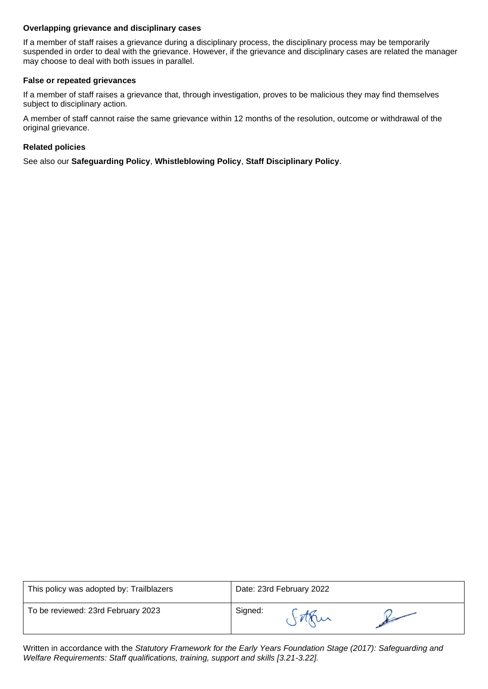## **Overlapping grievance and disciplinary cases**

If a member of staff raises a grievance during a disciplinary process, the disciplinary process may be temporarily suspended in order to deal with the grievance. However, if the grievance and disciplinary cases are related the manager may choose to deal with both issues in parallel.

#### **False or repeated grievances**

If a member of staff raises a grievance that, through investigation, proves to be malicious they may find themselves subject to disciplinary action.

A member of staff cannot raise the same grievance within 12 months of the resolution, outcome or withdrawal of the original grievance.

#### **Related policies**

See also our **Safeguarding Policy**, **Whistleblowing Policy**, **Staff Disciplinary Policy**.

| This policy was adopted by: Trailblazers | Date: 23rd February 2022 |
|------------------------------------------|--------------------------|
| To be reviewed: 23rd February 2023       | Signed:                  |

Written in accordance with the *Statutory Framework for the Early Years Foundation Stage (2017): Safeguarding and Welfare Requirements: Staff qualifications, training, support and skills [3.21-3.22].*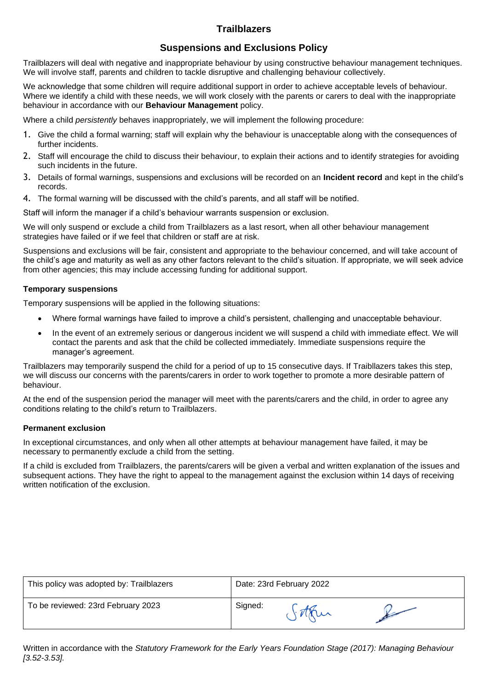# **Suspensions and Exclusions Policy**

Trailblazers will deal with negative and inappropriate behaviour by using constructive behaviour management techniques. We will involve staff, parents and children to tackle disruptive and challenging behaviour collectively.

We acknowledge that some children will require additional support in order to achieve acceptable levels of behaviour. Where we identify a child with these needs, we will work closely with the parents or carers to deal with the inappropriate behaviour in accordance with our **Behaviour Management** policy.

Where a child *persistently* behaves inappropriately, we will implement the following procedure:

- 1. Give the child a formal warning; staff will explain why the behaviour is unacceptable along with the consequences of further incidents.
- 2. Staff will encourage the child to discuss their behaviour, to explain their actions and to identify strategies for avoiding such incidents in the future.
- 3. Details of formal warnings, suspensions and exclusions will be recorded on an **Incident record** and kept in the child's records.
- 4. The formal warning will be discussed with the child's parents, and all staff will be notified.

Staff will inform the manager if a child's behaviour warrants suspension or exclusion.

We will only suspend or exclude a child from Trailblazers as a last resort, when all other behaviour management strategies have failed or if we feel that children or staff are at risk.

Suspensions and exclusions will be fair, consistent and appropriate to the behaviour concerned, and will take account of the child's age and maturity as well as any other factors relevant to the child's situation. If appropriate, we will seek advice from other agencies; this may include accessing funding for additional support.

## **Temporary suspensions**

Temporary suspensions will be applied in the following situations:

- Where formal warnings have failed to improve a child's persistent, challenging and unacceptable behaviour.
- In the event of an extremely serious or dangerous incident we will suspend a child with immediate effect. We will contact the parents and ask that the child be collected immediately. Immediate suspensions require the manager's agreement.

Trailblazers may temporarily suspend the child for a period of up to 15 consecutive days. If Traibllazers takes this step, we will discuss our concerns with the parents/carers in order to work together to promote a more desirable pattern of behaviour.

At the end of the suspension period the manager will meet with the parents/carers and the child, in order to agree any conditions relating to the child's return to Trailblazers.

## **Permanent exclusion**

In exceptional circumstances, and only when all other attempts at behaviour management have failed, it may be necessary to permanently exclude a child from the setting.

If a child is excluded from Trailblazers, the parents/carers will be given a verbal and written explanation of the issues and subsequent actions. They have the right to appeal to the management against the exclusion within 14 days of receiving written notification of the exclusion.

| This policy was adopted by: Trailblazers | Date: 23rd February 2022 |
|------------------------------------------|--------------------------|
| To be reviewed: 23rd February 2023       | Signed:                  |

Written in accordance with the *Statutory Framework for the Early Years Foundation Stage (2017): Managing Behaviour [3.52-3.53].*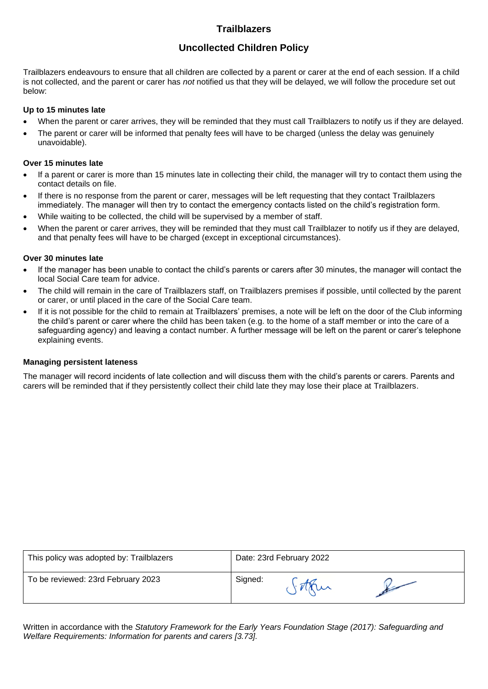# **Uncollected Children Policy**

Trailblazers endeavours to ensure that all children are collected by a parent or carer at the end of each session. If a child is not collected, and the parent or carer has *not* notified us that they will be delayed, we will follow the procedure set out below:

# **Up to 15 minutes late**

- When the parent or carer arrives, they will be reminded that they must call Trailblazers to notify us if they are delayed.
- The parent or carer will be informed that penalty fees will have to be charged (unless the delay was genuinely unavoidable).

# **Over 15 minutes late**

- If a parent or carer is more than 15 minutes late in collecting their child, the manager will try to contact them using the contact details on file.
- If there is no response from the parent or carer, messages will be left requesting that they contact Trailblazers immediately. The manager will then try to contact the emergency contacts listed on the child's registration form.
- While waiting to be collected, the child will be supervised by a member of staff.
- When the parent or carer arrives, they will be reminded that they must call Trailblazer to notify us if they are delayed, and that penalty fees will have to be charged (except in exceptional circumstances).

# **Over 30 minutes late**

- If the manager has been unable to contact the child's parents or carers after 30 minutes, the manager will contact the local Social Care team for advice.
- The child will remain in the care of Trailblazers staff, on Trailblazers premises if possible, until collected by the parent or carer, or until placed in the care of the Social Care team.
- If it is not possible for the child to remain at Trailblazers' premises, a note will be left on the door of the Club informing the child's parent or carer where the child has been taken (e.g. to the home of a staff member or into the care of a safeguarding agency) and leaving a contact number. A further message will be left on the parent or carer's telephone explaining events.

# **Managing persistent lateness**

The manager will record incidents of late collection and will discuss them with the child's parents or carers. Parents and carers will be reminded that if they persistently collect their child late they may lose their place at Trailblazers.

| This policy was adopted by: Trailblazers | Date: 23rd February 2022 |
|------------------------------------------|--------------------------|
| To be reviewed: 23rd February 2023       | Signed:                  |

Written in accordance with the *Statutory Framework for the Early Years Foundation Stage (2017): Safeguarding and Welfare Requirements: Information for parents and carers [3.73].*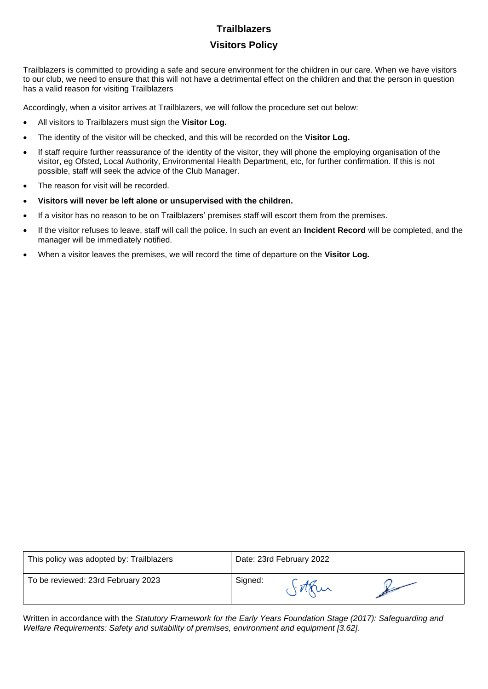# **Visitors Policy**

Trailblazers is committed to providing a safe and secure environment for the children in our care. When we have visitors to our club, we need to ensure that this will not have a detrimental effect on the children and that the person in question has a valid reason for visiting Trailblazers

Accordingly, when a visitor arrives at Trailblazers, we will follow the procedure set out below:

- All visitors to Trailblazers must sign the **Visitor Log.**
- The identity of the visitor will be checked, and this will be recorded on the **Visitor Log.**
- If staff require further reassurance of the identity of the visitor, they will phone the employing organisation of the visitor, eg Ofsted, Local Authority, Environmental Health Department, etc, for further confirmation. If this is not possible, staff will seek the advice of the Club Manager.
- The reason for visit will be recorded.
- **Visitors will never be left alone or unsupervised with the children.**
- If a visitor has no reason to be on Trailblazers' premises staff will escort them from the premises.
- If the visitor refuses to leave, staff will call the police. In such an event an **Incident Record** will be completed, and the manager will be immediately notified.
- When a visitor leaves the premises, we will record the time of departure on the **Visitor Log.**

| This policy was adopted by: Trailblazers | Date: 23rd February 2022 |
|------------------------------------------|--------------------------|
| To be reviewed: 23rd February 2023       | Signed:                  |

Written in accordance with the *Statutory Framework for the Early Years Foundation Stage (2017): Safeguarding and Welfare Requirements: Safety and suitability of premises, environment and equipment [3.62].*